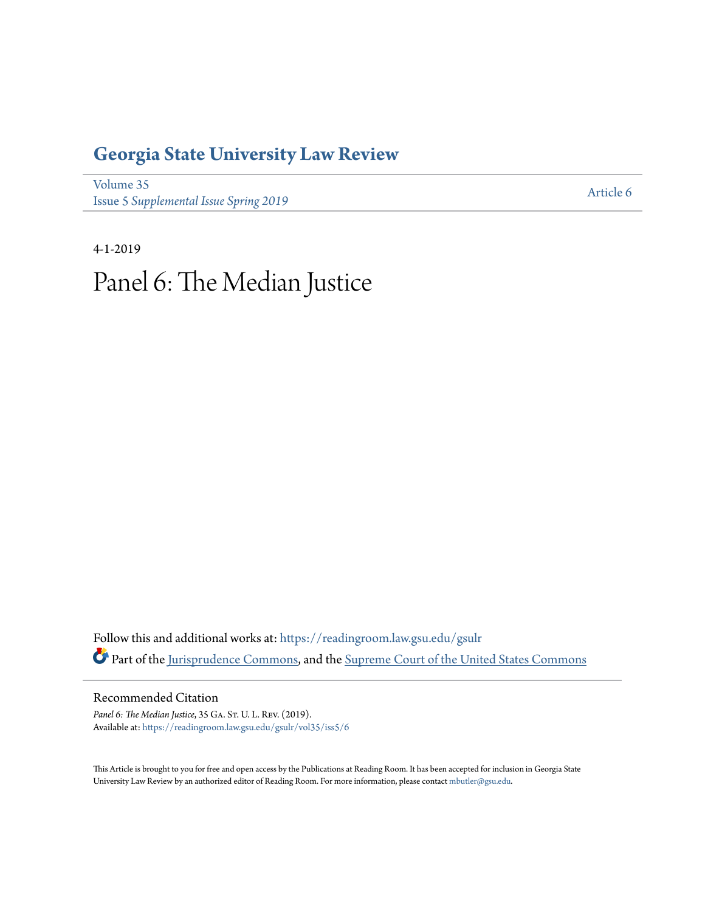# **[Georgia State University Law Review](https://readingroom.law.gsu.edu/gsulr?utm_source=readingroom.law.gsu.edu%2Fgsulr%2Fvol35%2Fiss5%2F6&utm_medium=PDF&utm_campaign=PDFCoverPages)**

[Volume 35](https://readingroom.law.gsu.edu/gsulr/vol35?utm_source=readingroom.law.gsu.edu%2Fgsulr%2Fvol35%2Fiss5%2F6&utm_medium=PDF&utm_campaign=PDFCoverPages) **Issue 5** *[Supplemental Issue Spring 2019](https://readingroom.law.gsu.edu/gsulr/vol35/iss5?utm_source=readingroom.law.gsu.edu%2Fgsulr%2Fvol35%2Fiss5%2F6&utm_medium=PDF&utm_campaign=PDFCoverPages)* [Article 6](https://readingroom.law.gsu.edu/gsulr/vol35/iss5/6?utm_source=readingroom.law.gsu.edu%2Fgsulr%2Fvol35%2Fiss5%2F6&utm_medium=PDF&utm_campaign=PDFCoverPages)

4-1-2019 Panel 6: The Median Justice

Follow this and additional works at: [https://readingroom.law.gsu.edu/gsulr](https://readingroom.law.gsu.edu/gsulr?utm_source=readingroom.law.gsu.edu%2Fgsulr%2Fvol35%2Fiss5%2F6&utm_medium=PDF&utm_campaign=PDFCoverPages) Part of the [Jurisprudence Commons,](http://network.bepress.com/hgg/discipline/610?utm_source=readingroom.law.gsu.edu%2Fgsulr%2Fvol35%2Fiss5%2F6&utm_medium=PDF&utm_campaign=PDFCoverPages) and the [Supreme Court of the United States Commons](http://network.bepress.com/hgg/discipline/1350?utm_source=readingroom.law.gsu.edu%2Fgsulr%2Fvol35%2Fiss5%2F6&utm_medium=PDF&utm_campaign=PDFCoverPages)

Recommended Citation

Panel 6: The Median Justice, 35 GA. ST. U. L. Rev. (2019). Available at: [https://readingroom.law.gsu.edu/gsulr/vol35/iss5/6](https://readingroom.law.gsu.edu/gsulr/vol35/iss5/6?utm_source=readingroom.law.gsu.edu%2Fgsulr%2Fvol35%2Fiss5%2F6&utm_medium=PDF&utm_campaign=PDFCoverPages)

This Article is brought to you for free and open access by the Publications at Reading Room. It has been accepted for inclusion in Georgia State University Law Review by an authorized editor of Reading Room. For more information, please contact [mbutler@gsu.edu.](mailto:mbutler@gsu.edu)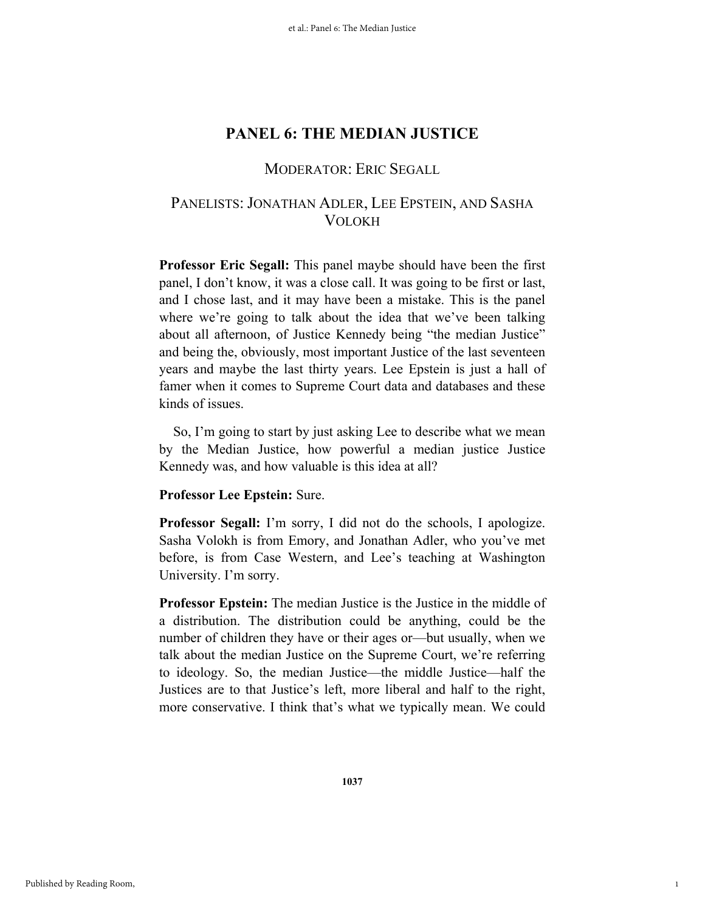## MODERATOR: ERIC SEGALL

# PANELISTS: JONATHAN ADLER, LEE EPSTEIN, AND SASHA VOLOKH

**Professor Eric Segall:** This panel maybe should have been the first panel, I don't know, it was a close call. It was going to be first or last, and I chose last, and it may have been a mistake. This is the panel where we're going to talk about the idea that we've been talking about all afternoon, of Justice Kennedy being "the median Justice" and being the, obviously, most important Justice of the last seventeen years and maybe the last thirty years. Lee Epstein is just a hall of famer when it comes to Supreme Court data and databases and these kinds of issues.

So, I'm going to start by just asking Lee to describe what we mean by the Median Justice, how powerful a median justice Justice Kennedy was, and how valuable is this idea at all?

### **Professor Lee Epstein:** Sure.

**Professor Segall:** I'm sorry, I did not do the schools, I apologize. Sasha Volokh is from Emory, and Jonathan Adler, who you've met before, is from Case Western, and Lee's teaching at Washington University. I'm sorry.

**Professor Epstein:** The median Justice is the Justice in the middle of a distribution. The distribution could be anything, could be the number of children they have or their ages or—but usually, when we talk about the median Justice on the Supreme Court, we're referring to ideology. So, the median Justice—the middle Justice—half the Justices are to that Justice's left, more liberal and half to the right, more conservative. I think that's what we typically mean. We could

1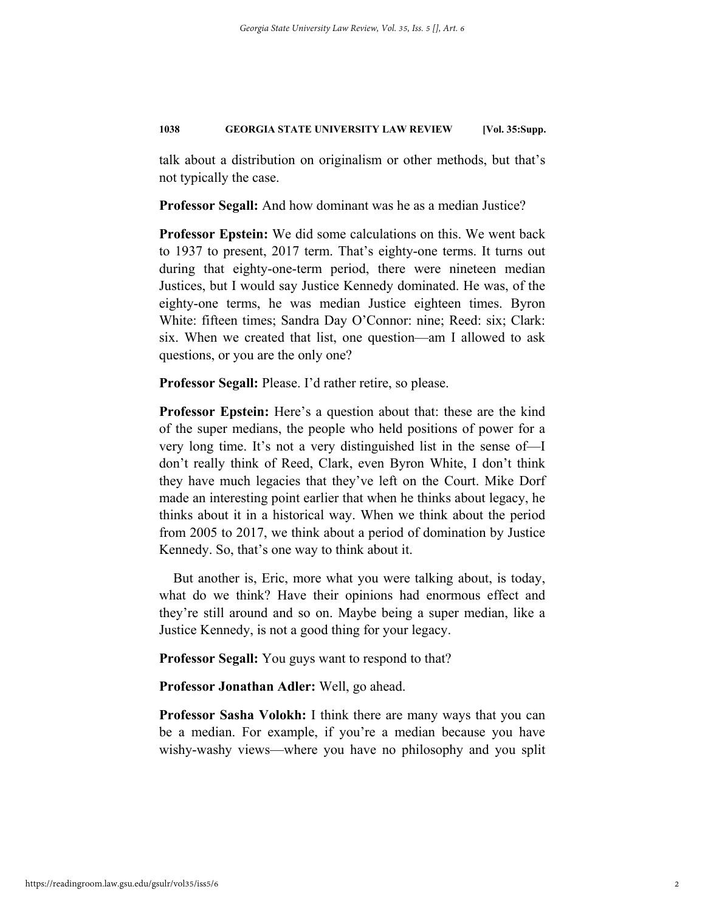talk about a distribution on originalism or other methods, but that's not typically the case.

**Professor Segall:** And how dominant was he as a median Justice?

**Professor Epstein:** We did some calculations on this. We went back to 1937 to present, 2017 term. That's eighty-one terms. It turns out during that eighty-one-term period, there were nineteen median Justices, but I would say Justice Kennedy dominated. He was, of the eighty-one terms, he was median Justice eighteen times. Byron White: fifteen times; Sandra Day O'Connor: nine; Reed: six; Clark: six. When we created that list, one question—am I allowed to ask questions, or you are the only one?

**Professor Segall:** Please. I'd rather retire, so please.

**Professor Epstein:** Here's a question about that: these are the kind of the super medians, the people who held positions of power for a very long time. It's not a very distinguished list in the sense of—I don't really think of Reed, Clark, even Byron White, I don't think they have much legacies that they've left on the Court. Mike Dorf made an interesting point earlier that when he thinks about legacy, he thinks about it in a historical way. When we think about the period from 2005 to 2017, we think about a period of domination by Justice Kennedy. So, that's one way to think about it.

But another is, Eric, more what you were talking about, is today, what do we think? Have their opinions had enormous effect and they're still around and so on. Maybe being a super median, like a Justice Kennedy, is not a good thing for your legacy.

**Professor Segall:** You guys want to respond to that?

**Professor Jonathan Adler:** Well, go ahead.

**Professor Sasha Volokh:** I think there are many ways that you can be a median. For example, if you're a median because you have wishy-washy views—where you have no philosophy and you split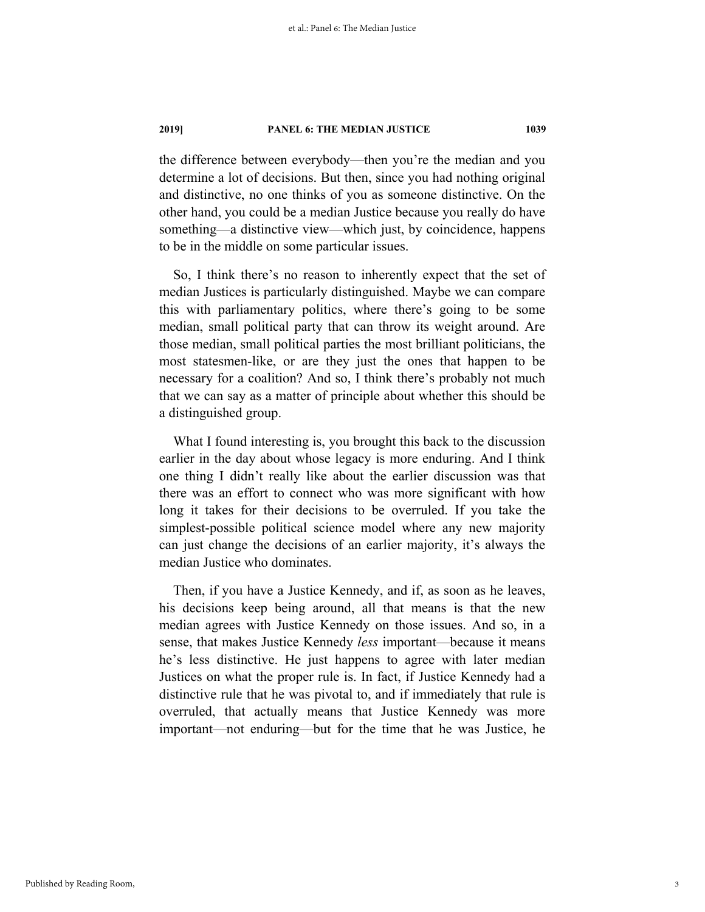the difference between everybody—then you're the median and you determine a lot of decisions. But then, since you had nothing original and distinctive, no one thinks of you as someone distinctive. On the other hand, you could be a median Justice because you really do have something—a distinctive view—which just, by coincidence, happens to be in the middle on some particular issues.

So, I think there's no reason to inherently expect that the set of median Justices is particularly distinguished. Maybe we can compare this with parliamentary politics, where there's going to be some median, small political party that can throw its weight around. Are those median, small political parties the most brilliant politicians, the most statesmen-like, or are they just the ones that happen to be necessary for a coalition? And so, I think there's probably not much that we can say as a matter of principle about whether this should be a distinguished group.

What I found interesting is, you brought this back to the discussion earlier in the day about whose legacy is more enduring. And I think one thing I didn't really like about the earlier discussion was that there was an effort to connect who was more significant with how long it takes for their decisions to be overruled. If you take the simplest-possible political science model where any new majority can just change the decisions of an earlier majority, it's always the median Justice who dominates.

Then, if you have a Justice Kennedy, and if, as soon as he leaves, his decisions keep being around, all that means is that the new median agrees with Justice Kennedy on those issues. And so, in a sense, that makes Justice Kennedy *less* important—because it means he's less distinctive. He just happens to agree with later median Justices on what the proper rule is. In fact, if Justice Kennedy had a distinctive rule that he was pivotal to, and if immediately that rule is overruled, that actually means that Justice Kennedy was more important—not enduring—but for the time that he was Justice, he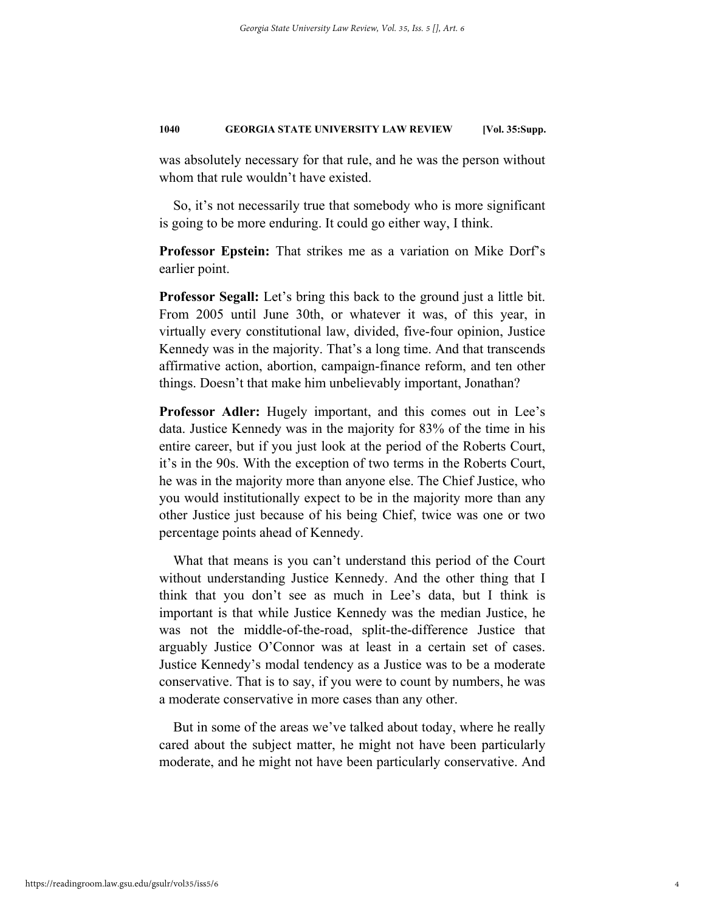was absolutely necessary for that rule, and he was the person without whom that rule wouldn't have existed.

So, it's not necessarily true that somebody who is more significant is going to be more enduring. It could go either way, I think.

**Professor Epstein:** That strikes me as a variation on Mike Dorf's earlier point.

**Professor Segall:** Let's bring this back to the ground just a little bit. From 2005 until June 30th, or whatever it was, of this year, in virtually every constitutional law, divided, five-four opinion, Justice Kennedy was in the majority. That's a long time. And that transcends affirmative action, abortion, campaign-finance reform, and ten other things. Doesn't that make him unbelievably important, Jonathan?

**Professor Adler:** Hugely important, and this comes out in Lee's data. Justice Kennedy was in the majority for 83% of the time in his entire career, but if you just look at the period of the Roberts Court, it's in the 90s. With the exception of two terms in the Roberts Court, he was in the majority more than anyone else. The Chief Justice, who you would institutionally expect to be in the majority more than any other Justice just because of his being Chief, twice was one or two percentage points ahead of Kennedy.

What that means is you can't understand this period of the Court without understanding Justice Kennedy. And the other thing that I think that you don't see as much in Lee's data, but I think is important is that while Justice Kennedy was the median Justice, he was not the middle-of-the-road, split-the-difference Justice that arguably Justice O'Connor was at least in a certain set of cases. Justice Kennedy's modal tendency as a Justice was to be a moderate conservative. That is to say, if you were to count by numbers, he was a moderate conservative in more cases than any other.

But in some of the areas we've talked about today, where he really cared about the subject matter, he might not have been particularly moderate, and he might not have been particularly conservative. And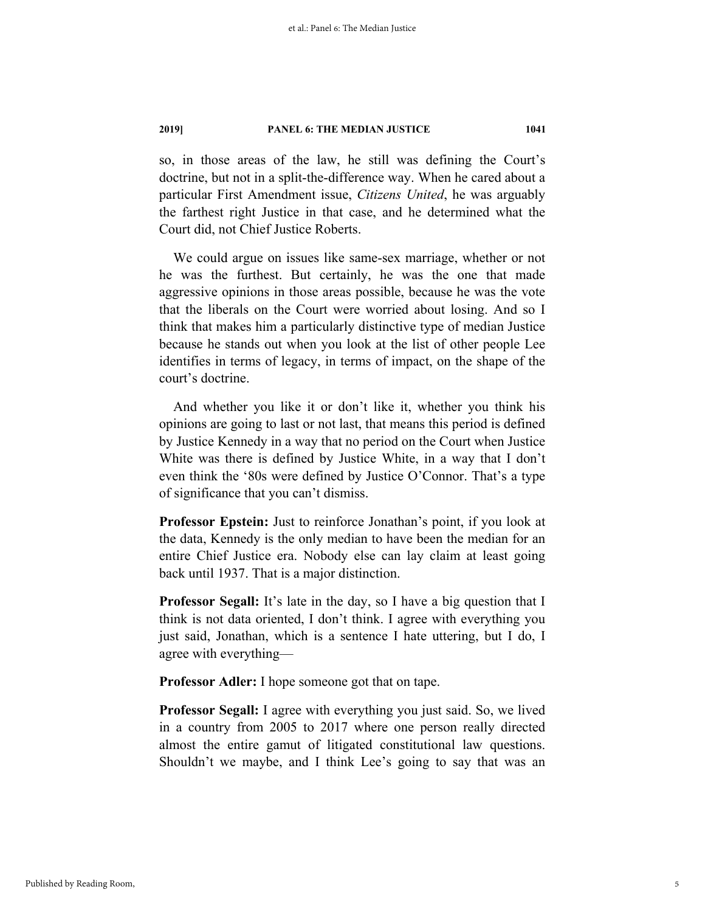so, in those areas of the law, he still was defining the Court's doctrine, but not in a split-the-difference way. When he cared about a particular First Amendment issue, *Citizens United*, he was arguably the farthest right Justice in that case, and he determined what the Court did, not Chief Justice Roberts.

We could argue on issues like same-sex marriage, whether or not he was the furthest. But certainly, he was the one that made aggressive opinions in those areas possible, because he was the vote that the liberals on the Court were worried about losing. And so I think that makes him a particularly distinctive type of median Justice because he stands out when you look at the list of other people Lee identifies in terms of legacy, in terms of impact, on the shape of the court's doctrine.

And whether you like it or don't like it, whether you think his opinions are going to last or not last, that means this period is defined by Justice Kennedy in a way that no period on the Court when Justice White was there is defined by Justice White, in a way that I don't even think the '80s were defined by Justice O'Connor. That's a type of significance that you can't dismiss.

**Professor Epstein:** Just to reinforce Jonathan's point, if you look at the data, Kennedy is the only median to have been the median for an entire Chief Justice era. Nobody else can lay claim at least going back until 1937. That is a major distinction.

**Professor Segall:** It's late in the day, so I have a big question that I think is not data oriented, I don't think. I agree with everything you just said, Jonathan, which is a sentence I hate uttering, but I do, I agree with everything—

**Professor Adler:** I hope someone got that on tape.

**Professor Segall:** I agree with everything you just said. So, we lived in a country from 2005 to 2017 where one person really directed almost the entire gamut of litigated constitutional law questions. Shouldn't we maybe, and I think Lee's going to say that was an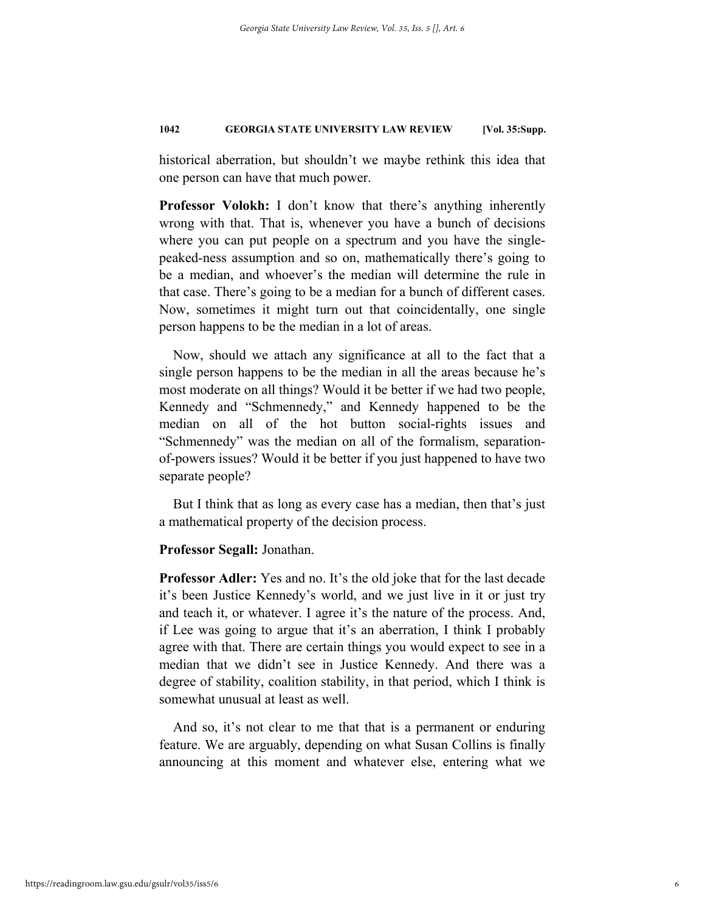historical aberration, but shouldn't we maybe rethink this idea that one person can have that much power.

**Professor Volokh:** I don't know that there's anything inherently wrong with that. That is, whenever you have a bunch of decisions where you can put people on a spectrum and you have the singlepeaked-ness assumption and so on, mathematically there's going to be a median, and whoever's the median will determine the rule in that case. There's going to be a median for a bunch of different cases. Now, sometimes it might turn out that coincidentally, one single person happens to be the median in a lot of areas.

Now, should we attach any significance at all to the fact that a single person happens to be the median in all the areas because he's most moderate on all things? Would it be better if we had two people, Kennedy and "Schmennedy," and Kennedy happened to be the median on all of the hot button social-rights issues and "Schmennedy" was the median on all of the formalism, separationof-powers issues? Would it be better if you just happened to have two separate people?

But I think that as long as every case has a median, then that's just a mathematical property of the decision process.

### **Professor Segall:** Jonathan.

**Professor Adler:** Yes and no. It's the old joke that for the last decade it's been Justice Kennedy's world, and we just live in it or just try and teach it, or whatever. I agree it's the nature of the process. And, if Lee was going to argue that it's an aberration, I think I probably agree with that. There are certain things you would expect to see in a median that we didn't see in Justice Kennedy. And there was a degree of stability, coalition stability, in that period, which I think is somewhat unusual at least as well.

And so, it's not clear to me that that is a permanent or enduring feature. We are arguably, depending on what Susan Collins is finally announcing at this moment and whatever else, entering what we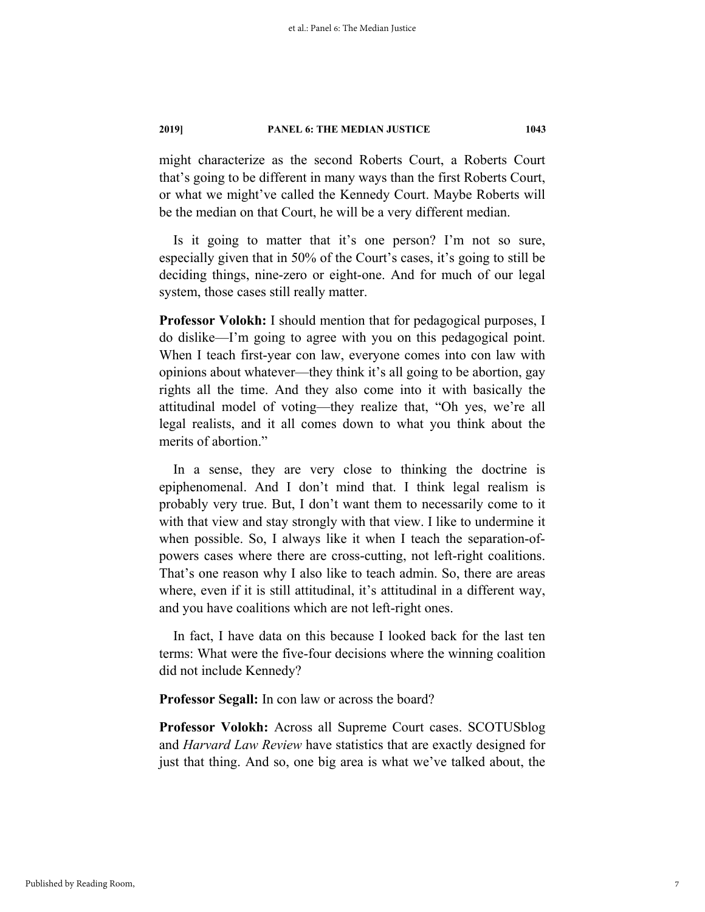might characterize as the second Roberts Court, a Roberts Court that's going to be different in many ways than the first Roberts Court, or what we might've called the Kennedy Court. Maybe Roberts will be the median on that Court, he will be a very different median.

Is it going to matter that it's one person? I'm not so sure, especially given that in 50% of the Court's cases, it's going to still be deciding things, nine-zero or eight-one. And for much of our legal system, those cases still really matter.

**Professor Volokh:** I should mention that for pedagogical purposes, I do dislike—I'm going to agree with you on this pedagogical point. When I teach first-year con law, everyone comes into con law with opinions about whatever—they think it's all going to be abortion, gay rights all the time. And they also come into it with basically the attitudinal model of voting—they realize that, "Oh yes, we're all legal realists, and it all comes down to what you think about the merits of abortion."

In a sense, they are very close to thinking the doctrine is epiphenomenal. And I don't mind that. I think legal realism is probably very true. But, I don't want them to necessarily come to it with that view and stay strongly with that view. I like to undermine it when possible. So, I always like it when I teach the separation-ofpowers cases where there are cross-cutting, not left-right coalitions. That's one reason why I also like to teach admin. So, there are areas where, even if it is still attitudinal, it's attitudinal in a different way, and you have coalitions which are not left-right ones.

In fact, I have data on this because I looked back for the last ten terms: What were the five-four decisions where the winning coalition did not include Kennedy?

**Professor Segall:** In con law or across the board?

**Professor Volokh:** Across all Supreme Court cases. SCOTUSblog and *Harvard Law Review* have statistics that are exactly designed for just that thing. And so, one big area is what we've talked about, the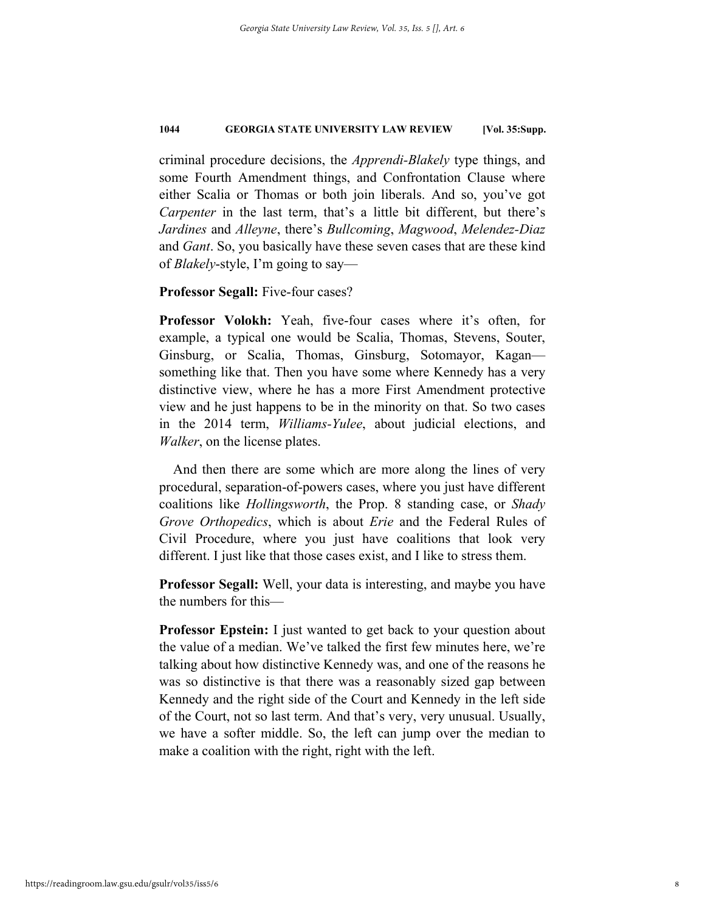criminal procedure decisions, the *Apprendi-Blakely* type things, and some Fourth Amendment things, and Confrontation Clause where either Scalia or Thomas or both join liberals. And so, you've got *Carpenter* in the last term, that's a little bit different, but there's *Jardines* and *Alleyne*, there's *Bullcoming*, *Magwood*, *Melendez-Diaz* and *Gant*. So, you basically have these seven cases that are these kind of *Blakely*-style, I'm going to say—

### **Professor Segall:** Five-four cases?

**Professor Volokh:** Yeah, five-four cases where it's often, for example, a typical one would be Scalia, Thomas, Stevens, Souter, Ginsburg, or Scalia, Thomas, Ginsburg, Sotomayor, Kagan something like that. Then you have some where Kennedy has a very distinctive view, where he has a more First Amendment protective view and he just happens to be in the minority on that. So two cases in the 2014 term, *Williams-Yulee*, about judicial elections, and *Walker*, on the license plates.

And then there are some which are more along the lines of very procedural, separation-of-powers cases, where you just have different coalitions like *Hollingsworth*, the Prop. 8 standing case, or *Shady Grove Orthopedics*, which is about *Erie* and the Federal Rules of Civil Procedure, where you just have coalitions that look very different. I just like that those cases exist, and I like to stress them.

**Professor Segall:** Well, your data is interesting, and maybe you have the numbers for this—

**Professor Epstein:** I just wanted to get back to your question about the value of a median. We've talked the first few minutes here, we're talking about how distinctive Kennedy was, and one of the reasons he was so distinctive is that there was a reasonably sized gap between Kennedy and the right side of the Court and Kennedy in the left side of the Court, not so last term. And that's very, very unusual. Usually, we have a softer middle. So, the left can jump over the median to make a coalition with the right, right with the left.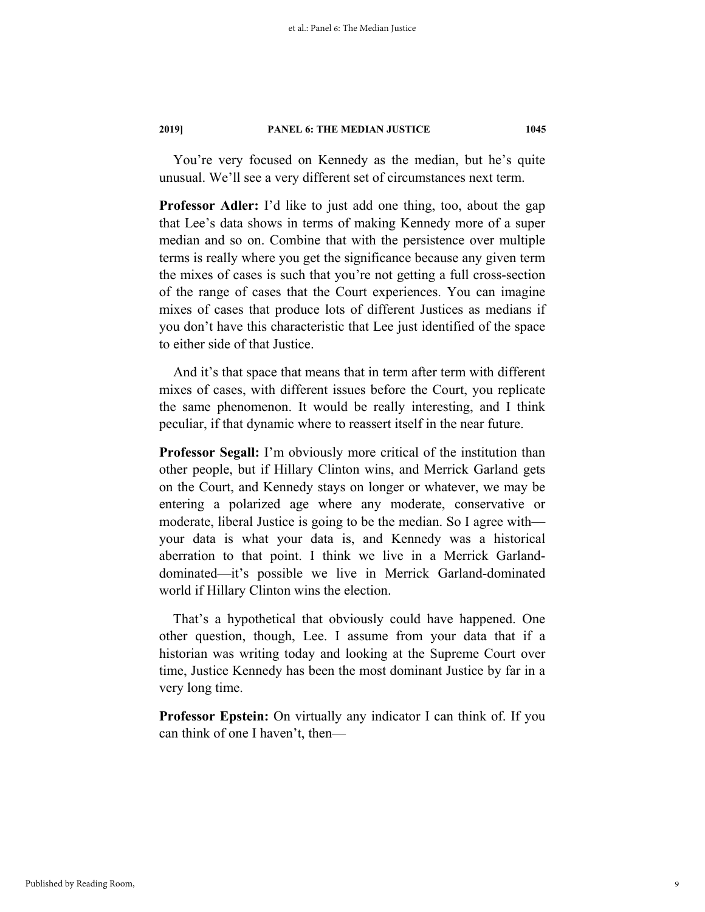You're very focused on Kennedy as the median, but he's quite unusual. We'll see a very different set of circumstances next term.

**Professor Adler:** I'd like to just add one thing, too, about the gap that Lee's data shows in terms of making Kennedy more of a super median and so on. Combine that with the persistence over multiple terms is really where you get the significance because any given term the mixes of cases is such that you're not getting a full cross-section of the range of cases that the Court experiences. You can imagine mixes of cases that produce lots of different Justices as medians if you don't have this characteristic that Lee just identified of the space to either side of that Justice.

And it's that space that means that in term after term with different mixes of cases, with different issues before the Court, you replicate the same phenomenon. It would be really interesting, and I think peculiar, if that dynamic where to reassert itself in the near future.

**Professor Segall:** I'm obviously more critical of the institution than other people, but if Hillary Clinton wins, and Merrick Garland gets on the Court, and Kennedy stays on longer or whatever, we may be entering a polarized age where any moderate, conservative or moderate, liberal Justice is going to be the median. So I agree with your data is what your data is, and Kennedy was a historical aberration to that point. I think we live in a Merrick Garlanddominated—it's possible we live in Merrick Garland-dominated world if Hillary Clinton wins the election.

That's a hypothetical that obviously could have happened. One other question, though, Lee. I assume from your data that if a historian was writing today and looking at the Supreme Court over time, Justice Kennedy has been the most dominant Justice by far in a very long time.

**Professor Epstein:** On virtually any indicator I can think of. If you can think of one I haven't, then—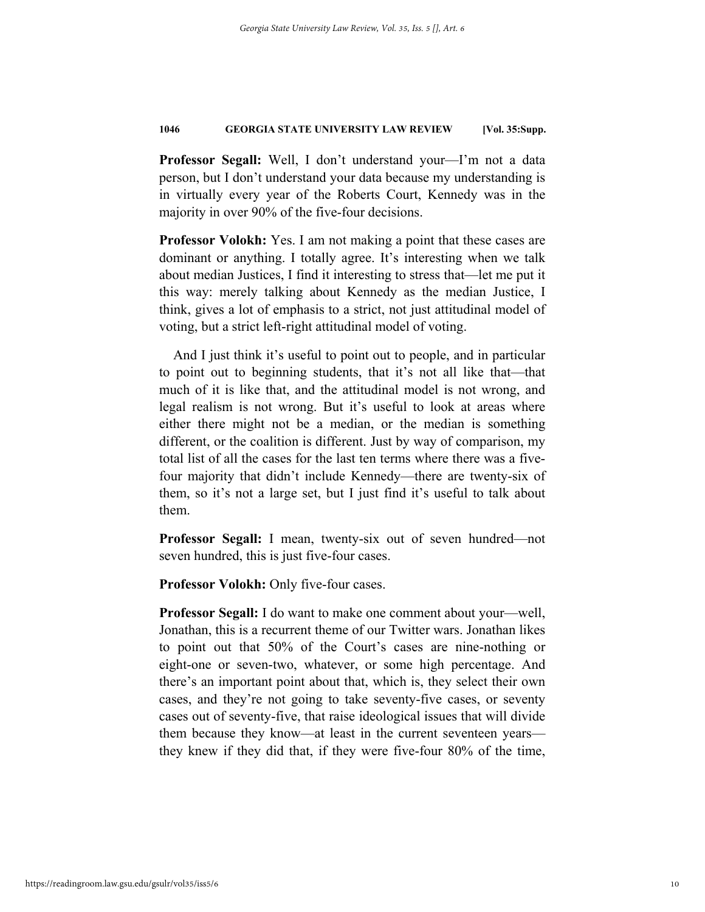**Professor Segall:** Well, I don't understand your—I'm not a data person, but I don't understand your data because my understanding is in virtually every year of the Roberts Court, Kennedy was in the majority in over 90% of the five-four decisions.

**Professor Volokh:** Yes. I am not making a point that these cases are dominant or anything. I totally agree. It's interesting when we talk about median Justices, I find it interesting to stress that—let me put it this way: merely talking about Kennedy as the median Justice, I think, gives a lot of emphasis to a strict, not just attitudinal model of voting, but a strict left-right attitudinal model of voting.

And I just think it's useful to point out to people, and in particular to point out to beginning students, that it's not all like that—that much of it is like that, and the attitudinal model is not wrong, and legal realism is not wrong. But it's useful to look at areas where either there might not be a median, or the median is something different, or the coalition is different. Just by way of comparison, my total list of all the cases for the last ten terms where there was a fivefour majority that didn't include Kennedy—there are twenty-six of them, so it's not a large set, but I just find it's useful to talk about them.

**Professor Segall:** I mean, twenty-six out of seven hundred—not seven hundred, this is just five-four cases.

**Professor Volokh:** Only five-four cases.

**Professor Segall:** I do want to make one comment about your—well, Jonathan, this is a recurrent theme of our Twitter wars. Jonathan likes to point out that 50% of the Court's cases are nine-nothing or eight-one or seven-two, whatever, or some high percentage. And there's an important point about that, which is, they select their own cases, and they're not going to take seventy-five cases, or seventy cases out of seventy-five, that raise ideological issues that will divide them because they know—at least in the current seventeen years they knew if they did that, if they were five-four 80% of the time,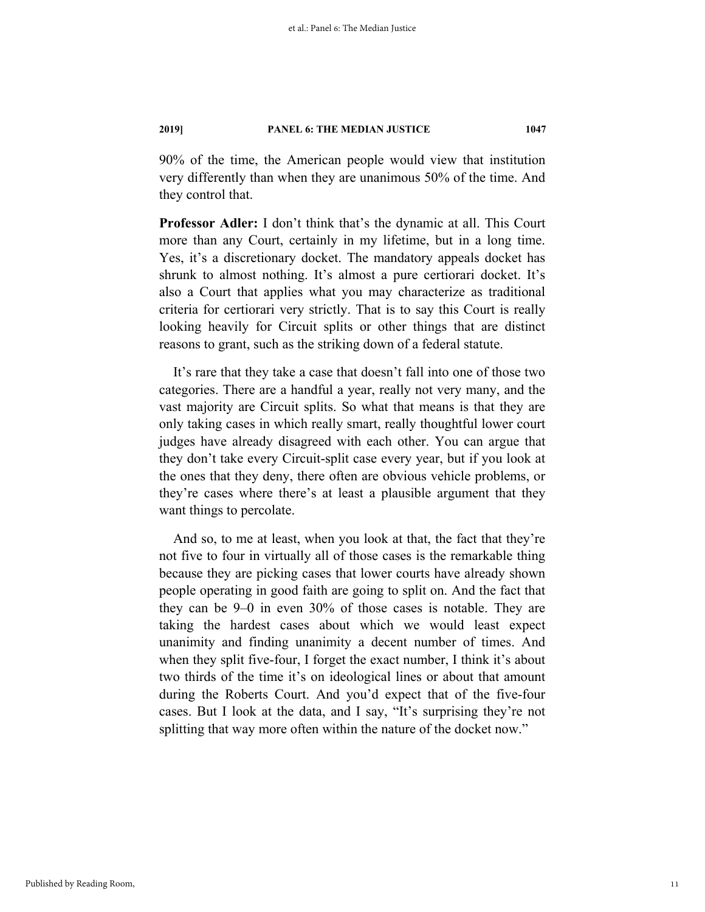90% of the time, the American people would view that institution very differently than when they are unanimous 50% of the time. And they control that.

**Professor Adler:** I don't think that's the dynamic at all. This Court more than any Court, certainly in my lifetime, but in a long time. Yes, it's a discretionary docket. The mandatory appeals docket has shrunk to almost nothing. It's almost a pure certiorari docket. It's also a Court that applies what you may characterize as traditional criteria for certiorari very strictly. That is to say this Court is really looking heavily for Circuit splits or other things that are distinct reasons to grant, such as the striking down of a federal statute.

It's rare that they take a case that doesn't fall into one of those two categories. There are a handful a year, really not very many, and the vast majority are Circuit splits. So what that means is that they are only taking cases in which really smart, really thoughtful lower court judges have already disagreed with each other. You can argue that they don't take every Circuit-split case every year, but if you look at the ones that they deny, there often are obvious vehicle problems, or they're cases where there's at least a plausible argument that they want things to percolate.

And so, to me at least, when you look at that, the fact that they're not five to four in virtually all of those cases is the remarkable thing because they are picking cases that lower courts have already shown people operating in good faith are going to split on. And the fact that they can be 9–0 in even 30% of those cases is notable. They are taking the hardest cases about which we would least expect unanimity and finding unanimity a decent number of times. And when they split five-four, I forget the exact number, I think it's about two thirds of the time it's on ideological lines or about that amount during the Roberts Court. And you'd expect that of the five-four cases. But I look at the data, and I say, "It's surprising they're not splitting that way more often within the nature of the docket now."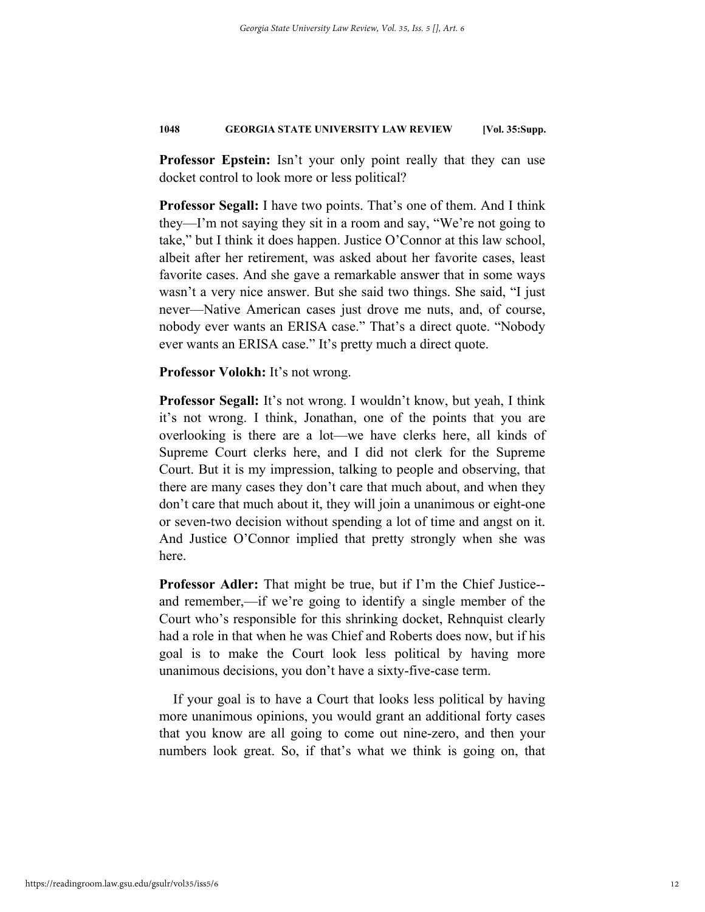**Professor Epstein:** Isn't your only point really that they can use docket control to look more or less political?

**Professor Segall:** I have two points. That's one of them. And I think they—I'm not saying they sit in a room and say, "We're not going to take," but I think it does happen. Justice O'Connor at this law school, albeit after her retirement, was asked about her favorite cases, least favorite cases. And she gave a remarkable answer that in some ways wasn't a very nice answer. But she said two things. She said, "I just never—Native American cases just drove me nuts, and, of course, nobody ever wants an ERISA case." That's a direct quote. "Nobody ever wants an ERISA case." It's pretty much a direct quote.

**Professor Volokh:** It's not wrong.

**Professor Segall:** It's not wrong. I wouldn't know, but yeah, I think it's not wrong. I think, Jonathan, one of the points that you are overlooking is there are a lot—we have clerks here, all kinds of Supreme Court clerks here, and I did not clerk for the Supreme Court. But it is my impression, talking to people and observing, that there are many cases they don't care that much about, and when they don't care that much about it, they will join a unanimous or eight-one or seven-two decision without spending a lot of time and angst on it. And Justice O'Connor implied that pretty strongly when she was here.

**Professor Adler:** That might be true, but if I'm the Chief Justice- and remember,—if we're going to identify a single member of the Court who's responsible for this shrinking docket, Rehnquist clearly had a role in that when he was Chief and Roberts does now, but if his goal is to make the Court look less political by having more unanimous decisions, you don't have a sixty-five-case term.

If your goal is to have a Court that looks less political by having more unanimous opinions, you would grant an additional forty cases that you know are all going to come out nine-zero, and then your numbers look great. So, if that's what we think is going on, that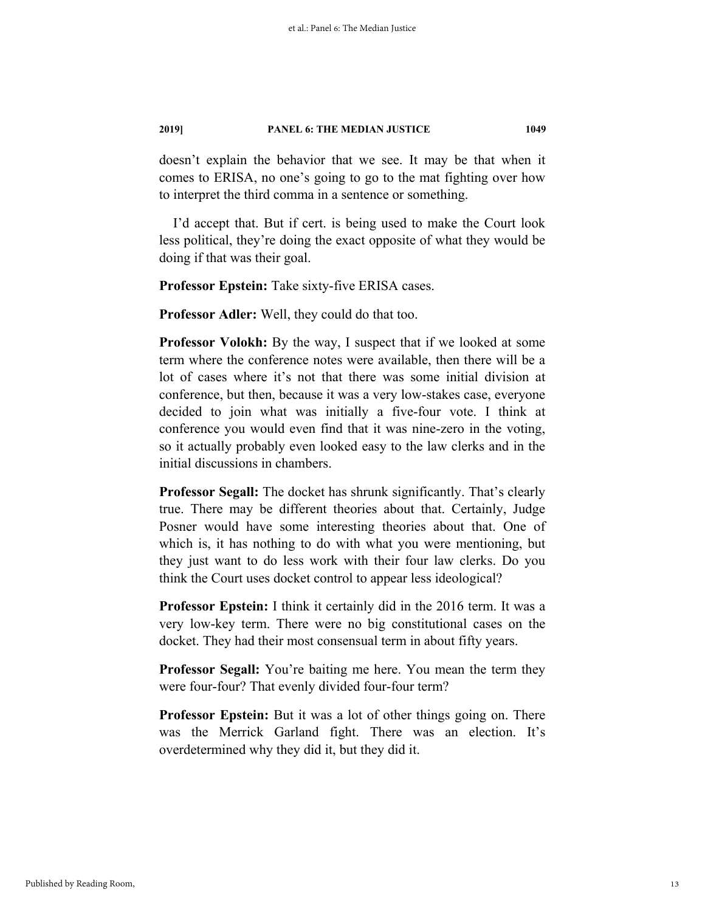doesn't explain the behavior that we see. It may be that when it comes to ERISA, no one's going to go to the mat fighting over how to interpret the third comma in a sentence or something.

I'd accept that. But if cert. is being used to make the Court look less political, they're doing the exact opposite of what they would be doing if that was their goal.

**Professor Epstein:** Take sixty-five ERISA cases.

**Professor Adler:** Well, they could do that too.

**Professor Volokh:** By the way, I suspect that if we looked at some term where the conference notes were available, then there will be a lot of cases where it's not that there was some initial division at conference, but then, because it was a very low-stakes case, everyone decided to join what was initially a five-four vote. I think at conference you would even find that it was nine-zero in the voting, so it actually probably even looked easy to the law clerks and in the initial discussions in chambers.

**Professor Segall:** The docket has shrunk significantly. That's clearly true. There may be different theories about that. Certainly, Judge Posner would have some interesting theories about that. One of which is, it has nothing to do with what you were mentioning, but they just want to do less work with their four law clerks. Do you think the Court uses docket control to appear less ideological?

**Professor Epstein:** I think it certainly did in the 2016 term. It was a very low-key term. There were no big constitutional cases on the docket. They had their most consensual term in about fifty years.

**Professor Segall:** You're baiting me here. You mean the term they were four-four? That evenly divided four-four term?

**Professor Epstein:** But it was a lot of other things going on. There was the Merrick Garland fight. There was an election. It's overdetermined why they did it, but they did it.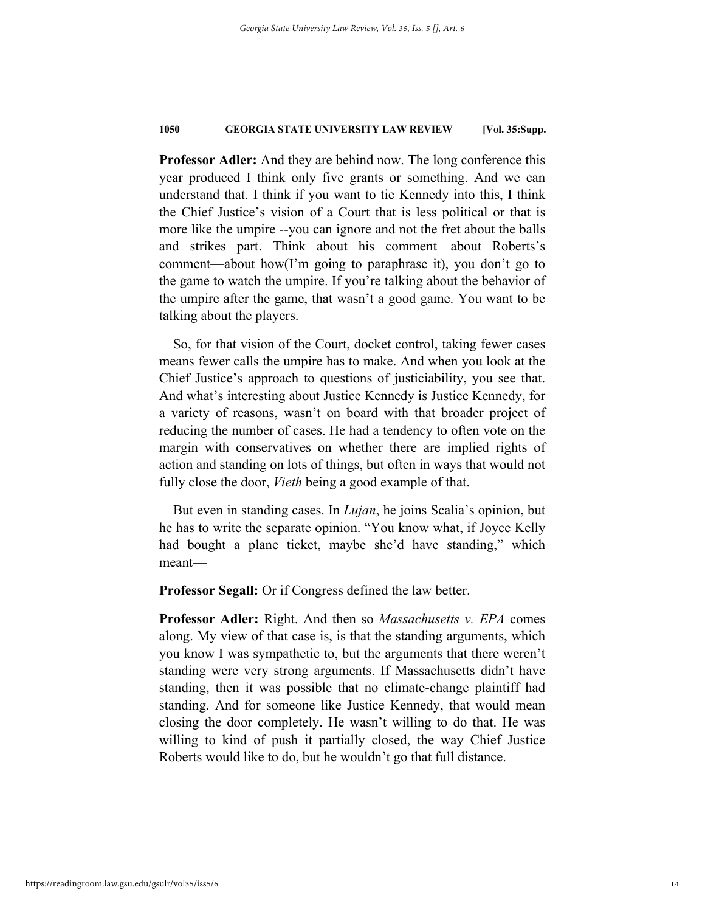**Professor Adler:** And they are behind now. The long conference this year produced I think only five grants or something. And we can understand that. I think if you want to tie Kennedy into this, I think the Chief Justice's vision of a Court that is less political or that is more like the umpire --you can ignore and not the fret about the balls and strikes part. Think about his comment—about Roberts's comment—about how(I'm going to paraphrase it), you don't go to the game to watch the umpire. If you're talking about the behavior of the umpire after the game, that wasn't a good game. You want to be talking about the players.

So, for that vision of the Court, docket control, taking fewer cases means fewer calls the umpire has to make. And when you look at the Chief Justice's approach to questions of justiciability, you see that. And what's interesting about Justice Kennedy is Justice Kennedy, for a variety of reasons, wasn't on board with that broader project of reducing the number of cases. He had a tendency to often vote on the margin with conservatives on whether there are implied rights of action and standing on lots of things, but often in ways that would not fully close the door, *Vieth* being a good example of that.

But even in standing cases. In *Lujan*, he joins Scalia's opinion, but he has to write the separate opinion. "You know what, if Joyce Kelly had bought a plane ticket, maybe she'd have standing," which meant—

**Professor Segall:** Or if Congress defined the law better.

**Professor Adler:** Right. And then so *Massachusetts v. EPA* comes along. My view of that case is, is that the standing arguments, which you know I was sympathetic to, but the arguments that there weren't standing were very strong arguments. If Massachusetts didn't have standing, then it was possible that no climate-change plaintiff had standing. And for someone like Justice Kennedy, that would mean closing the door completely. He wasn't willing to do that. He was willing to kind of push it partially closed, the way Chief Justice Roberts would like to do, but he wouldn't go that full distance.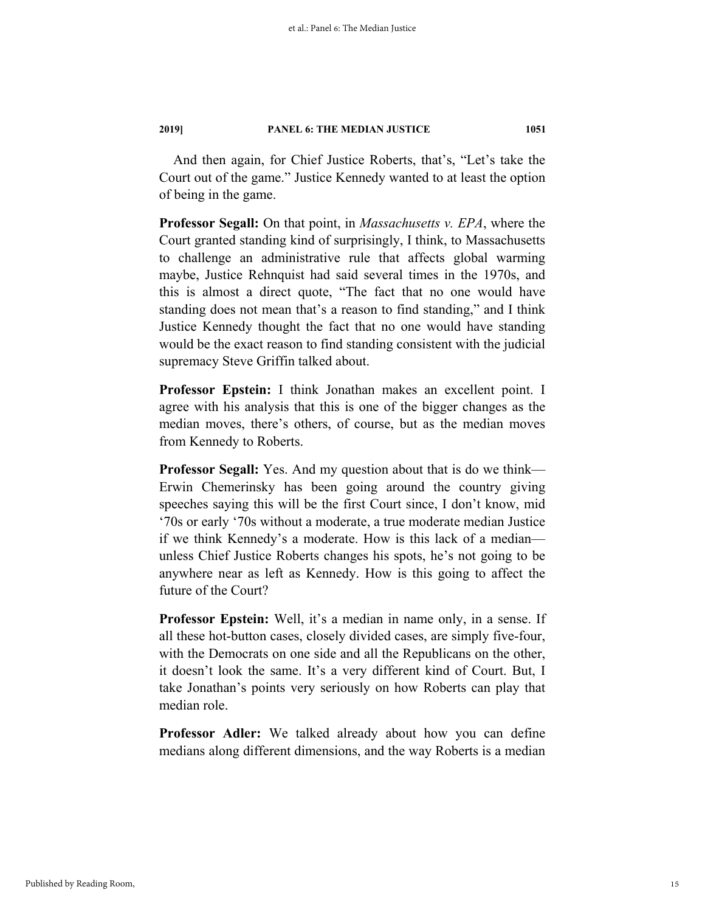And then again, for Chief Justice Roberts, that's, "Let's take the Court out of the game." Justice Kennedy wanted to at least the option of being in the game.

**Professor Segall:** On that point, in *Massachusetts v. EPA*, where the Court granted standing kind of surprisingly, I think, to Massachusetts to challenge an administrative rule that affects global warming maybe, Justice Rehnquist had said several times in the 1970s, and this is almost a direct quote, "The fact that no one would have standing does not mean that's a reason to find standing," and I think Justice Kennedy thought the fact that no one would have standing would be the exact reason to find standing consistent with the judicial supremacy Steve Griffin talked about.

**Professor Epstein:** I think Jonathan makes an excellent point. I agree with his analysis that this is one of the bigger changes as the median moves, there's others, of course, but as the median moves from Kennedy to Roberts.

**Professor Segall:** Yes. And my question about that is do we think— Erwin Chemerinsky has been going around the country giving speeches saying this will be the first Court since, I don't know, mid '70s or early '70s without a moderate, a true moderate median Justice if we think Kennedy's a moderate. How is this lack of a median unless Chief Justice Roberts changes his spots, he's not going to be anywhere near as left as Kennedy. How is this going to affect the future of the Court?

**Professor Epstein:** Well, it's a median in name only, in a sense. If all these hot-button cases, closely divided cases, are simply five-four, with the Democrats on one side and all the Republicans on the other, it doesn't look the same. It's a very different kind of Court. But, I take Jonathan's points very seriously on how Roberts can play that median role.

**Professor Adler:** We talked already about how you can define medians along different dimensions, and the way Roberts is a median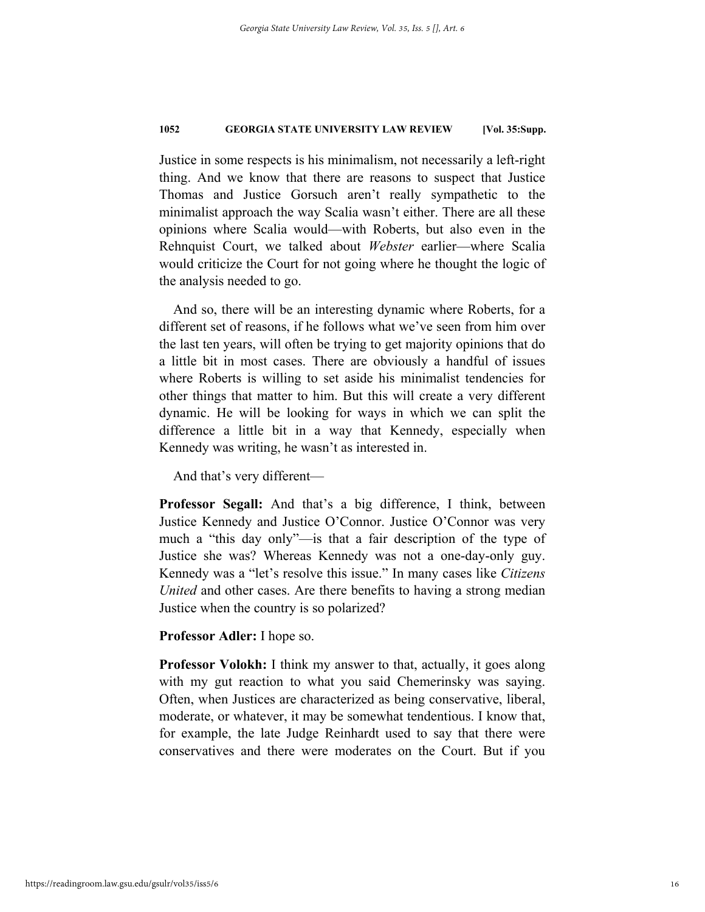Justice in some respects is his minimalism, not necessarily a left-right thing. And we know that there are reasons to suspect that Justice Thomas and Justice Gorsuch aren't really sympathetic to the minimalist approach the way Scalia wasn't either. There are all these opinions where Scalia would—with Roberts, but also even in the Rehnquist Court, we talked about *Webster* earlier—where Scalia would criticize the Court for not going where he thought the logic of the analysis needed to go.

And so, there will be an interesting dynamic where Roberts, for a different set of reasons, if he follows what we've seen from him over the last ten years, will often be trying to get majority opinions that do a little bit in most cases. There are obviously a handful of issues where Roberts is willing to set aside his minimalist tendencies for other things that matter to him. But this will create a very different dynamic. He will be looking for ways in which we can split the difference a little bit in a way that Kennedy, especially when Kennedy was writing, he wasn't as interested in.

And that's very different—

**Professor Segall:** And that's a big difference, I think, between Justice Kennedy and Justice O'Connor. Justice O'Connor was very much a "this day only"—is that a fair description of the type of Justice she was? Whereas Kennedy was not a one-day-only guy. Kennedy was a "let's resolve this issue." In many cases like *Citizens United* and other cases. Are there benefits to having a strong median Justice when the country is so polarized?

**Professor Adler:** I hope so.

**Professor Volokh:** I think my answer to that, actually, it goes along with my gut reaction to what you said Chemerinsky was saying. Often, when Justices are characterized as being conservative, liberal, moderate, or whatever, it may be somewhat tendentious. I know that, for example, the late Judge Reinhardt used to say that there were conservatives and there were moderates on the Court. But if you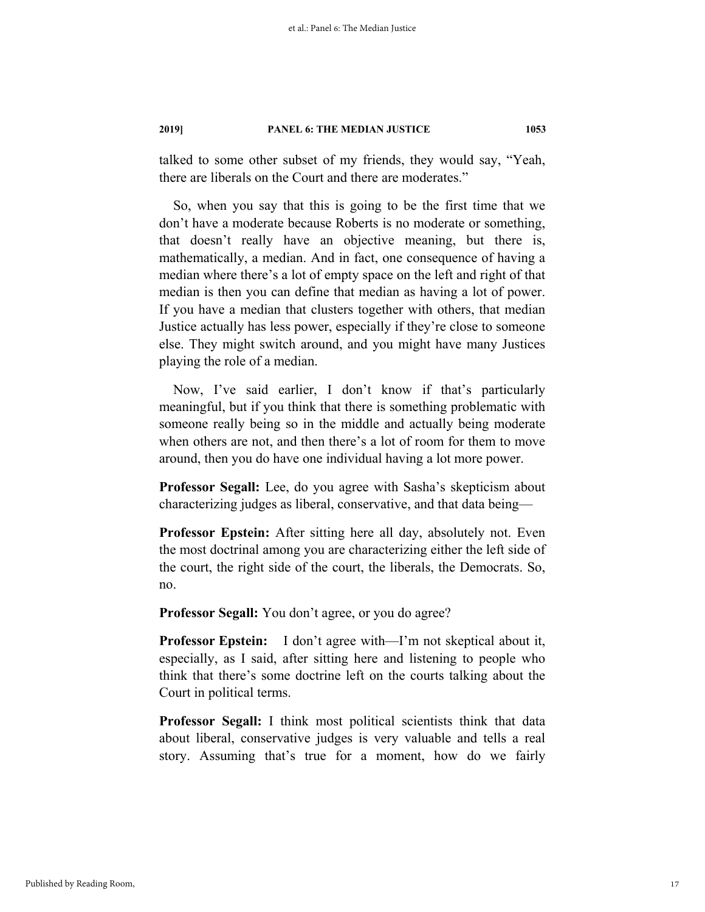talked to some other subset of my friends, they would say, "Yeah, there are liberals on the Court and there are moderates."

So, when you say that this is going to be the first time that we don't have a moderate because Roberts is no moderate or something, that doesn't really have an objective meaning, but there is, mathematically, a median. And in fact, one consequence of having a median where there's a lot of empty space on the left and right of that median is then you can define that median as having a lot of power. If you have a median that clusters together with others, that median Justice actually has less power, especially if they're close to someone else. They might switch around, and you might have many Justices playing the role of a median.

Now, I've said earlier, I don't know if that's particularly meaningful, but if you think that there is something problematic with someone really being so in the middle and actually being moderate when others are not, and then there's a lot of room for them to move around, then you do have one individual having a lot more power.

**Professor Segall:** Lee, do you agree with Sasha's skepticism about characterizing judges as liberal, conservative, and that data being—

**Professor Epstein:** After sitting here all day, absolutely not. Even the most doctrinal among you are characterizing either the left side of the court, the right side of the court, the liberals, the Democrats. So, no.

**Professor Segall:** You don't agree, or you do agree?

**Professor Epstein:** I don't agree with—I'm not skeptical about it, especially, as I said, after sitting here and listening to people who think that there's some doctrine left on the courts talking about the Court in political terms.

**Professor Segall:** I think most political scientists think that data about liberal, conservative judges is very valuable and tells a real story. Assuming that's true for a moment, how do we fairly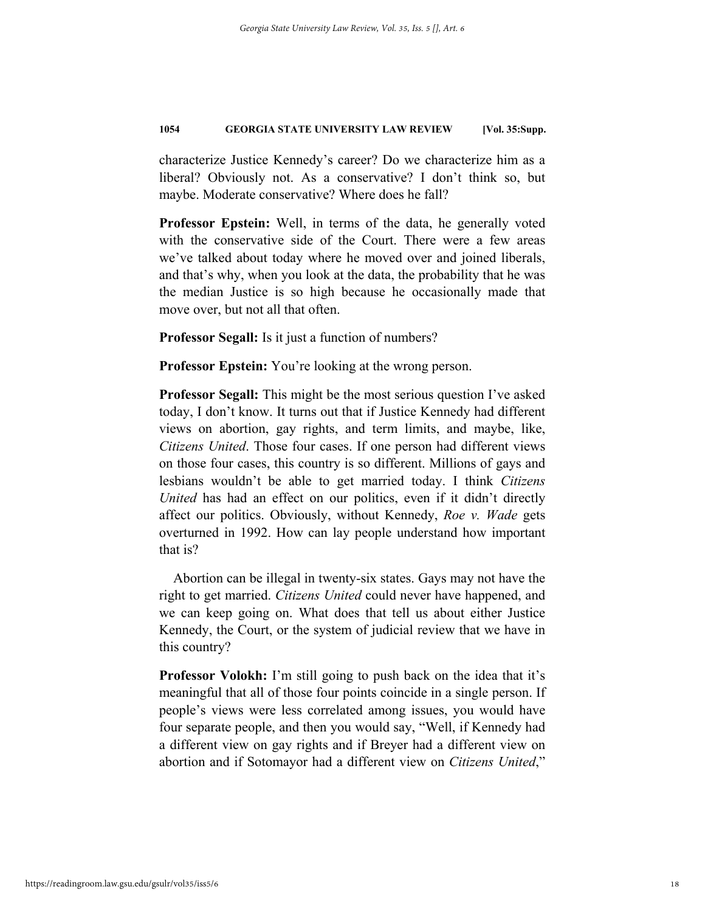characterize Justice Kennedy's career? Do we characterize him as a liberal? Obviously not. As a conservative? I don't think so, but maybe. Moderate conservative? Where does he fall?

**Professor Epstein:** Well, in terms of the data, he generally voted with the conservative side of the Court. There were a few areas we've talked about today where he moved over and joined liberals, and that's why, when you look at the data, the probability that he was the median Justice is so high because he occasionally made that move over, but not all that often.

**Professor Segall:** Is it just a function of numbers?

**Professor Epstein:** You're looking at the wrong person.

**Professor Segall:** This might be the most serious question I've asked today, I don't know. It turns out that if Justice Kennedy had different views on abortion, gay rights, and term limits, and maybe, like, *Citizens United*. Those four cases. If one person had different views on those four cases, this country is so different. Millions of gays and lesbians wouldn't be able to get married today. I think *Citizens United* has had an effect on our politics, even if it didn't directly affect our politics. Obviously, without Kennedy, *Roe v. Wade* gets overturned in 1992. How can lay people understand how important that is?

Abortion can be illegal in twenty-six states. Gays may not have the right to get married. *Citizens United* could never have happened, and we can keep going on. What does that tell us about either Justice Kennedy, the Court, or the system of judicial review that we have in this country?

**Professor Volokh:** I'm still going to push back on the idea that it's meaningful that all of those four points coincide in a single person. If people's views were less correlated among issues, you would have four separate people, and then you would say, "Well, if Kennedy had a different view on gay rights and if Breyer had a different view on abortion and if Sotomayor had a different view on *Citizens United*,"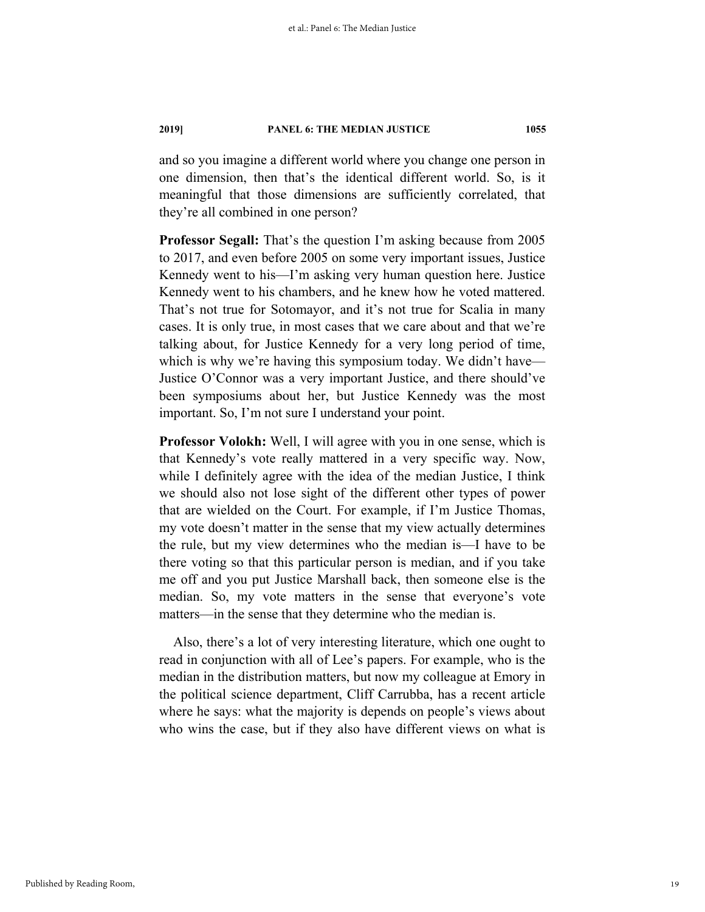and so you imagine a different world where you change one person in one dimension, then that's the identical different world. So, is it meaningful that those dimensions are sufficiently correlated, that they're all combined in one person?

**Professor Segall:** That's the question I'm asking because from 2005 to 2017, and even before 2005 on some very important issues, Justice Kennedy went to his—I'm asking very human question here. Justice Kennedy went to his chambers, and he knew how he voted mattered. That's not true for Sotomayor, and it's not true for Scalia in many cases. It is only true, in most cases that we care about and that we're talking about, for Justice Kennedy for a very long period of time, which is why we're having this symposium today. We didn't have— Justice O'Connor was a very important Justice, and there should've been symposiums about her, but Justice Kennedy was the most important. So, I'm not sure I understand your point.

**Professor Volokh:** Well, I will agree with you in one sense, which is that Kennedy's vote really mattered in a very specific way. Now, while I definitely agree with the idea of the median Justice, I think we should also not lose sight of the different other types of power that are wielded on the Court. For example, if I'm Justice Thomas, my vote doesn't matter in the sense that my view actually determines the rule, but my view determines who the median is—I have to be there voting so that this particular person is median, and if you take me off and you put Justice Marshall back, then someone else is the median. So, my vote matters in the sense that everyone's vote matters—in the sense that they determine who the median is.

Also, there's a lot of very interesting literature, which one ought to read in conjunction with all of Lee's papers. For example, who is the median in the distribution matters, but now my colleague at Emory in the political science department, Cliff Carrubba, has a recent article where he says: what the majority is depends on people's views about who wins the case, but if they also have different views on what is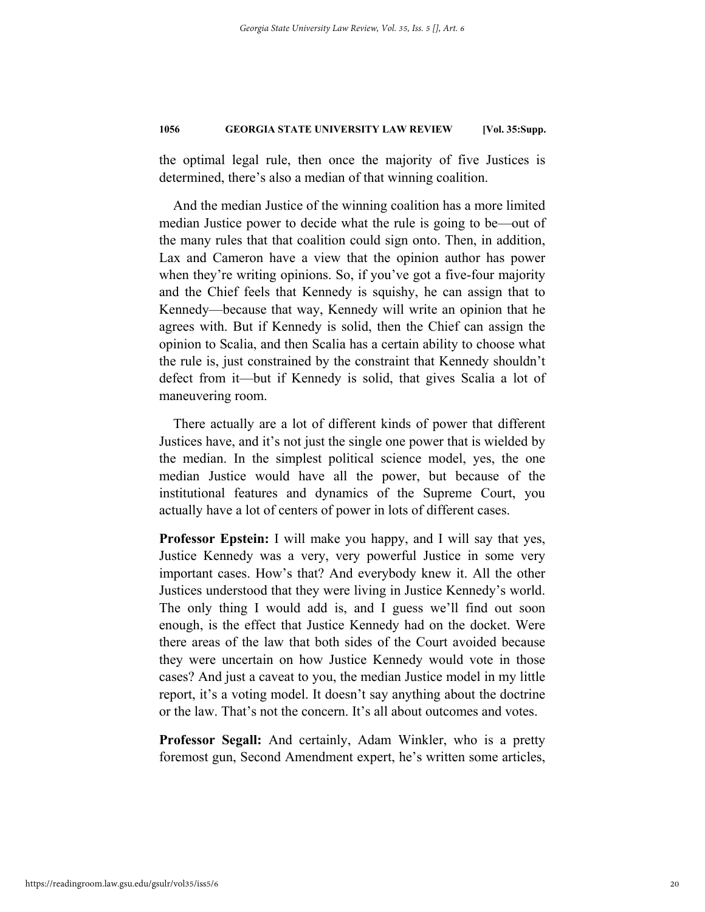the optimal legal rule, then once the majority of five Justices is determined, there's also a median of that winning coalition.

And the median Justice of the winning coalition has a more limited median Justice power to decide what the rule is going to be—out of the many rules that that coalition could sign onto. Then, in addition, Lax and Cameron have a view that the opinion author has power when they're writing opinions. So, if you've got a five-four majority and the Chief feels that Kennedy is squishy, he can assign that to Kennedy—because that way, Kennedy will write an opinion that he agrees with. But if Kennedy is solid, then the Chief can assign the opinion to Scalia, and then Scalia has a certain ability to choose what the rule is, just constrained by the constraint that Kennedy shouldn't defect from it—but if Kennedy is solid, that gives Scalia a lot of maneuvering room.

There actually are a lot of different kinds of power that different Justices have, and it's not just the single one power that is wielded by the median. In the simplest political science model, yes, the one median Justice would have all the power, but because of the institutional features and dynamics of the Supreme Court, you actually have a lot of centers of power in lots of different cases.

**Professor Epstein:** I will make you happy, and I will say that yes, Justice Kennedy was a very, very powerful Justice in some very important cases. How's that? And everybody knew it. All the other Justices understood that they were living in Justice Kennedy's world. The only thing I would add is, and I guess we'll find out soon enough, is the effect that Justice Kennedy had on the docket. Were there areas of the law that both sides of the Court avoided because they were uncertain on how Justice Kennedy would vote in those cases? And just a caveat to you, the median Justice model in my little report, it's a voting model. It doesn't say anything about the doctrine or the law. That's not the concern. It's all about outcomes and votes.

**Professor Segall:** And certainly, Adam Winkler, who is a pretty foremost gun, Second Amendment expert, he's written some articles,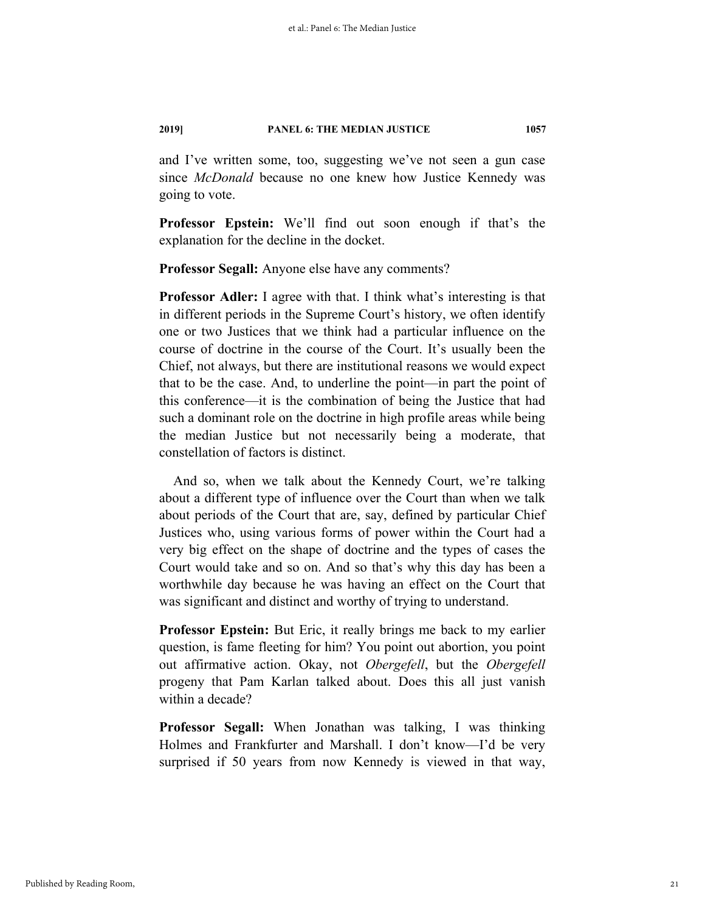and I've written some, too, suggesting we've not seen a gun case since *McDonald* because no one knew how Justice Kennedy was going to vote.

**Professor Epstein:** We'll find out soon enough if that's the explanation for the decline in the docket.

**Professor Segall:** Anyone else have any comments?

**Professor Adler:** I agree with that. I think what's interesting is that in different periods in the Supreme Court's history, we often identify one or two Justices that we think had a particular influence on the course of doctrine in the course of the Court. It's usually been the Chief, not always, but there are institutional reasons we would expect that to be the case. And, to underline the point—in part the point of this conference—it is the combination of being the Justice that had such a dominant role on the doctrine in high profile areas while being the median Justice but not necessarily being a moderate, that constellation of factors is distinct.

And so, when we talk about the Kennedy Court, we're talking about a different type of influence over the Court than when we talk about periods of the Court that are, say, defined by particular Chief Justices who, using various forms of power within the Court had a very big effect on the shape of doctrine and the types of cases the Court would take and so on. And so that's why this day has been a worthwhile day because he was having an effect on the Court that was significant and distinct and worthy of trying to understand.

**Professor Epstein:** But Eric, it really brings me back to my earlier question, is fame fleeting for him? You point out abortion, you point out affirmative action. Okay, not *Obergefell*, but the *Obergefell* progeny that Pam Karlan talked about. Does this all just vanish within a decade?

**Professor Segall:** When Jonathan was talking, I was thinking Holmes and Frankfurter and Marshall. I don't know—I'd be very surprised if 50 years from now Kennedy is viewed in that way,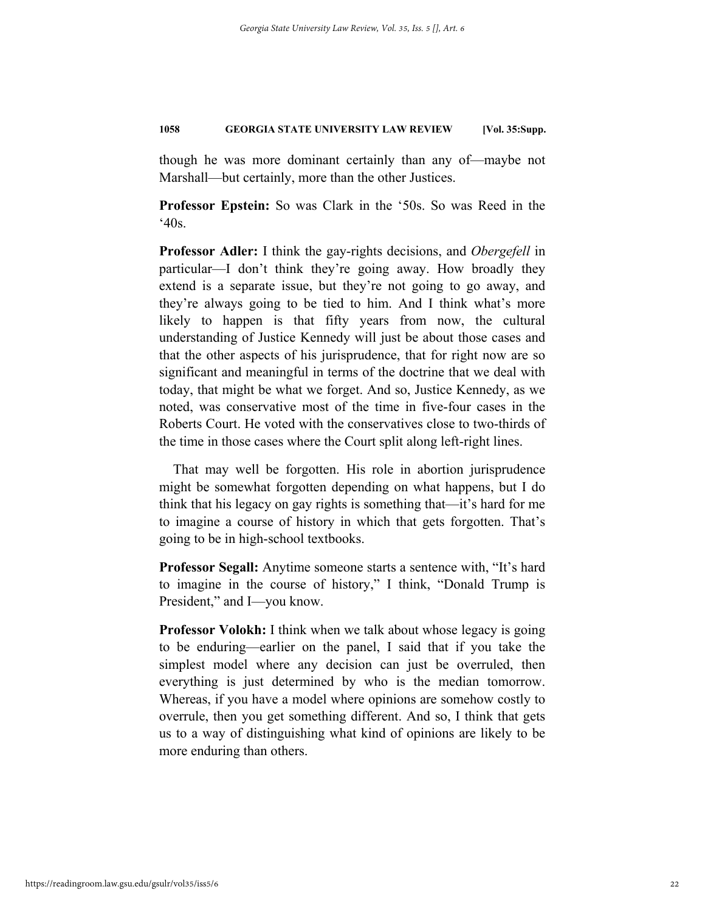though he was more dominant certainly than any of—maybe not Marshall—but certainly, more than the other Justices.

**Professor Epstein:** So was Clark in the '50s. So was Reed in the  $40s$ .

**Professor Adler:** I think the gay-rights decisions, and *Obergefell* in particular—I don't think they're going away. How broadly they extend is a separate issue, but they're not going to go away, and they're always going to be tied to him. And I think what's more likely to happen is that fifty years from now, the cultural understanding of Justice Kennedy will just be about those cases and that the other aspects of his jurisprudence, that for right now are so significant and meaningful in terms of the doctrine that we deal with today, that might be what we forget. And so, Justice Kennedy, as we noted, was conservative most of the time in five-four cases in the Roberts Court. He voted with the conservatives close to two-thirds of the time in those cases where the Court split along left-right lines.

That may well be forgotten. His role in abortion jurisprudence might be somewhat forgotten depending on what happens, but I do think that his legacy on gay rights is something that—it's hard for me to imagine a course of history in which that gets forgotten. That's going to be in high-school textbooks.

**Professor Segall:** Anytime someone starts a sentence with, "It's hard to imagine in the course of history," I think, "Donald Trump is President," and I—you know.

**Professor Volokh:** I think when we talk about whose legacy is going to be enduring—earlier on the panel, I said that if you take the simplest model where any decision can just be overruled, then everything is just determined by who is the median tomorrow. Whereas, if you have a model where opinions are somehow costly to overrule, then you get something different. And so, I think that gets us to a way of distinguishing what kind of opinions are likely to be more enduring than others.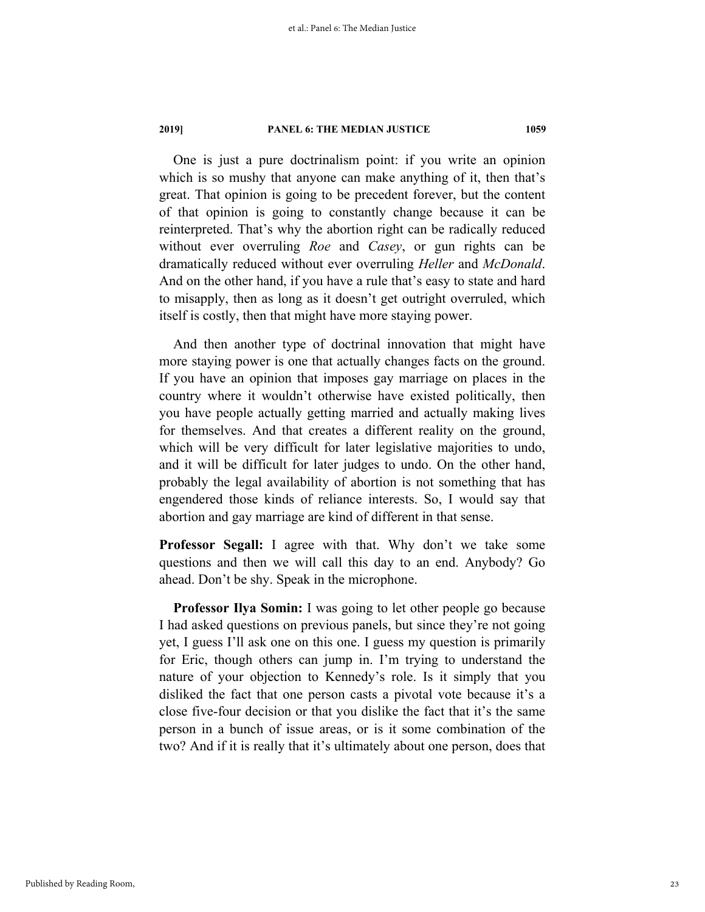One is just a pure doctrinalism point: if you write an opinion which is so mushy that anyone can make anything of it, then that's great. That opinion is going to be precedent forever, but the content of that opinion is going to constantly change because it can be reinterpreted. That's why the abortion right can be radically reduced without ever overruling *Roe* and *Casey*, or gun rights can be dramatically reduced without ever overruling *Heller* and *McDonald*. And on the other hand, if you have a rule that's easy to state and hard to misapply, then as long as it doesn't get outright overruled, which itself is costly, then that might have more staying power.

And then another type of doctrinal innovation that might have more staying power is one that actually changes facts on the ground. If you have an opinion that imposes gay marriage on places in the country where it wouldn't otherwise have existed politically, then you have people actually getting married and actually making lives for themselves. And that creates a different reality on the ground, which will be very difficult for later legislative majorities to undo, and it will be difficult for later judges to undo. On the other hand, probably the legal availability of abortion is not something that has engendered those kinds of reliance interests. So, I would say that abortion and gay marriage are kind of different in that sense.

**Professor Segall:** I agree with that. Why don't we take some questions and then we will call this day to an end. Anybody? Go ahead. Don't be shy. Speak in the microphone.

**Professor Ilya Somin:** I was going to let other people go because I had asked questions on previous panels, but since they're not going yet, I guess I'll ask one on this one. I guess my question is primarily for Eric, though others can jump in. I'm trying to understand the nature of your objection to Kennedy's role. Is it simply that you disliked the fact that one person casts a pivotal vote because it's a close five-four decision or that you dislike the fact that it's the same person in a bunch of issue areas, or is it some combination of the two? And if it is really that it's ultimately about one person, does that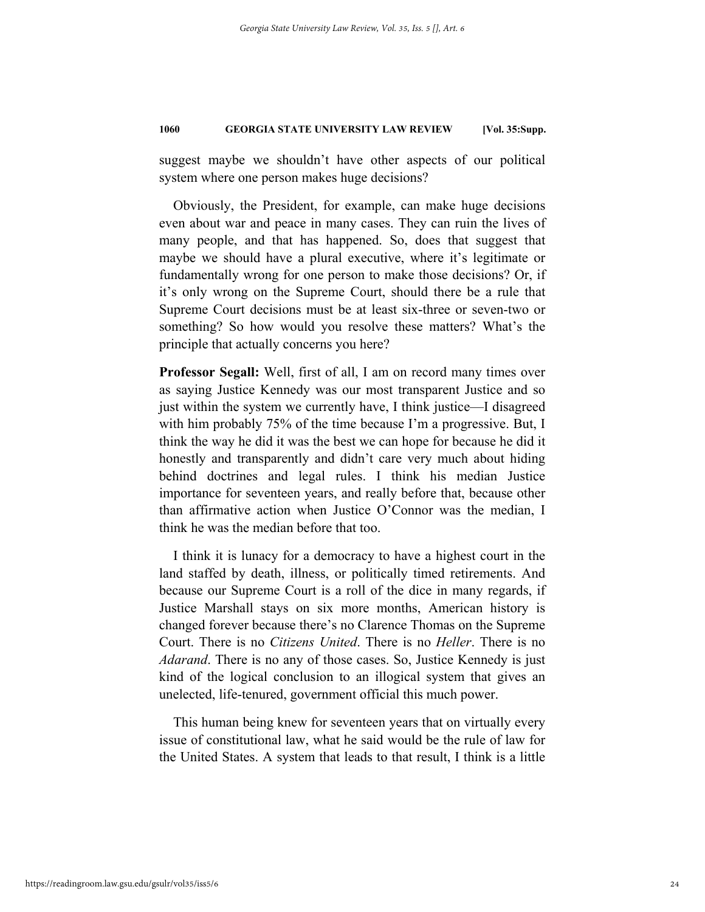suggest maybe we shouldn't have other aspects of our political system where one person makes huge decisions?

Obviously, the President, for example, can make huge decisions even about war and peace in many cases. They can ruin the lives of many people, and that has happened. So, does that suggest that maybe we should have a plural executive, where it's legitimate or fundamentally wrong for one person to make those decisions? Or, if it's only wrong on the Supreme Court, should there be a rule that Supreme Court decisions must be at least six-three or seven-two or something? So how would you resolve these matters? What's the principle that actually concerns you here?

**Professor Segall:** Well, first of all, I am on record many times over as saying Justice Kennedy was our most transparent Justice and so just within the system we currently have, I think justice—I disagreed with him probably 75% of the time because I'm a progressive. But, I think the way he did it was the best we can hope for because he did it honestly and transparently and didn't care very much about hiding behind doctrines and legal rules. I think his median Justice importance for seventeen years, and really before that, because other than affirmative action when Justice O'Connor was the median, I think he was the median before that too.

I think it is lunacy for a democracy to have a highest court in the land staffed by death, illness, or politically timed retirements. And because our Supreme Court is a roll of the dice in many regards, if Justice Marshall stays on six more months, American history is changed forever because there's no Clarence Thomas on the Supreme Court. There is no *Citizens United*. There is no *Heller*. There is no *Adarand*. There is no any of those cases. So, Justice Kennedy is just kind of the logical conclusion to an illogical system that gives an unelected, life-tenured, government official this much power.

This human being knew for seventeen years that on virtually every issue of constitutional law, what he said would be the rule of law for the United States. A system that leads to that result, I think is a little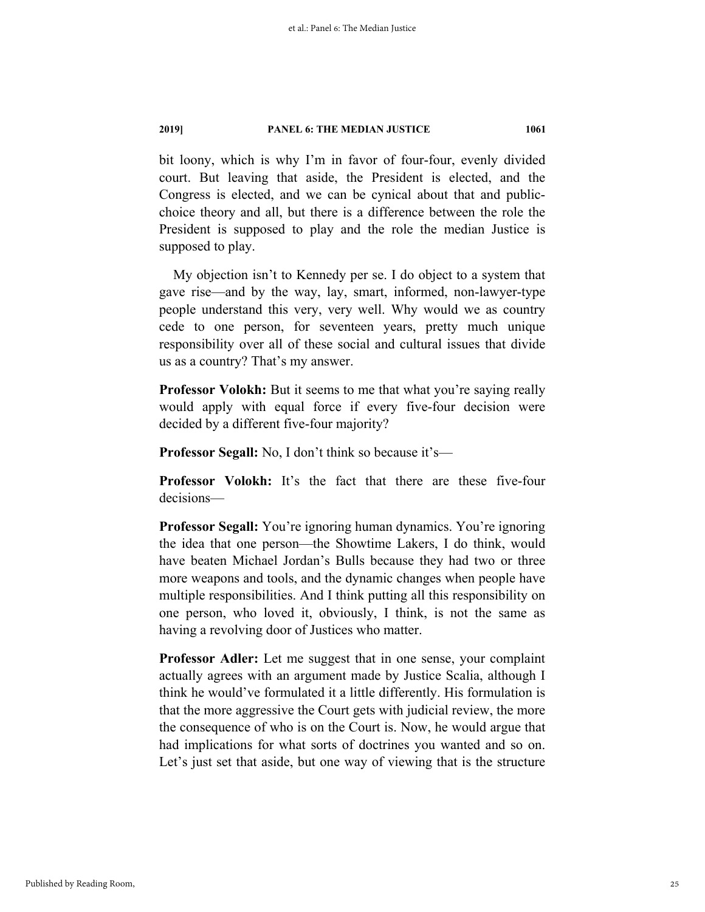bit loony, which is why I'm in favor of four-four, evenly divided court. But leaving that aside, the President is elected, and the Congress is elected, and we can be cynical about that and publicchoice theory and all, but there is a difference between the role the President is supposed to play and the role the median Justice is supposed to play.

My objection isn't to Kennedy per se. I do object to a system that gave rise—and by the way, lay, smart, informed, non-lawyer-type people understand this very, very well. Why would we as country cede to one person, for seventeen years, pretty much unique responsibility over all of these social and cultural issues that divide us as a country? That's my answer.

**Professor Volokh:** But it seems to me that what you're saying really would apply with equal force if every five-four decision were decided by a different five-four majority?

**Professor Segall:** No, I don't think so because it's—

**Professor Volokh:** It's the fact that there are these five-four decisions—

**Professor Segall:** You're ignoring human dynamics. You're ignoring the idea that one person—the Showtime Lakers, I do think, would have beaten Michael Jordan's Bulls because they had two or three more weapons and tools, and the dynamic changes when people have multiple responsibilities. And I think putting all this responsibility on one person, who loved it, obviously, I think, is not the same as having a revolving door of Justices who matter.

**Professor Adler:** Let me suggest that in one sense, your complaint actually agrees with an argument made by Justice Scalia, although I think he would've formulated it a little differently. His formulation is that the more aggressive the Court gets with judicial review, the more the consequence of who is on the Court is. Now, he would argue that had implications for what sorts of doctrines you wanted and so on. Let's just set that aside, but one way of viewing that is the structure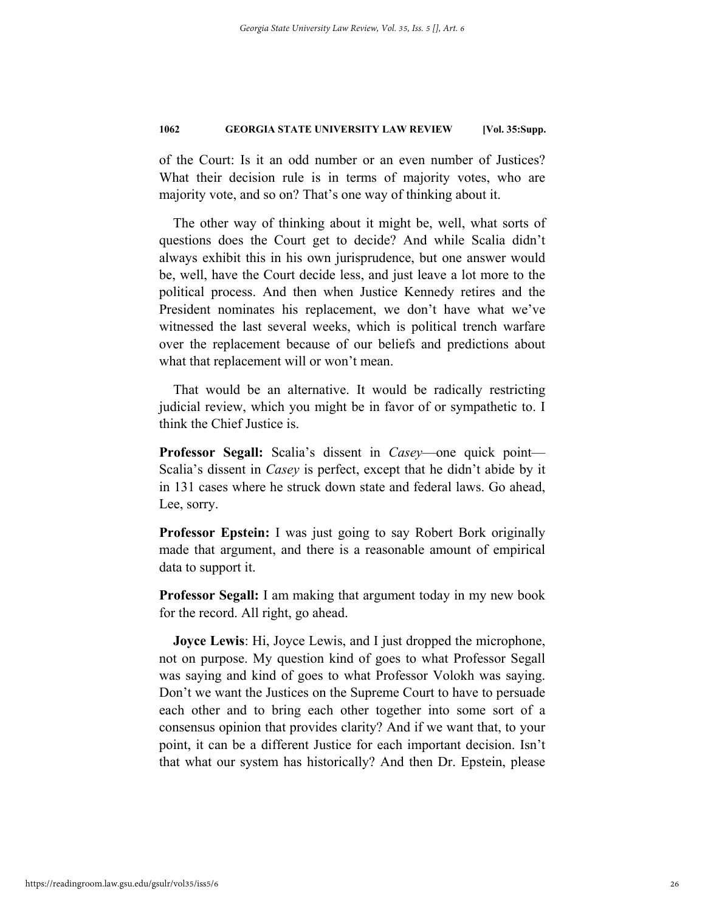of the Court: Is it an odd number or an even number of Justices? What their decision rule is in terms of majority votes, who are majority vote, and so on? That's one way of thinking about it.

The other way of thinking about it might be, well, what sorts of questions does the Court get to decide? And while Scalia didn't always exhibit this in his own jurisprudence, but one answer would be, well, have the Court decide less, and just leave a lot more to the political process. And then when Justice Kennedy retires and the President nominates his replacement, we don't have what we've witnessed the last several weeks, which is political trench warfare over the replacement because of our beliefs and predictions about what that replacement will or won't mean.

That would be an alternative. It would be radically restricting judicial review, which you might be in favor of or sympathetic to. I think the Chief Justice is.

**Professor Segall:** Scalia's dissent in *Casey*—one quick point— Scalia's dissent in *Casey* is perfect, except that he didn't abide by it in 131 cases where he struck down state and federal laws. Go ahead, Lee, sorry.

**Professor Epstein:** I was just going to say Robert Bork originally made that argument, and there is a reasonable amount of empirical data to support it.

**Professor Segall:** I am making that argument today in my new book for the record. All right, go ahead.

**Joyce Lewis**: Hi, Joyce Lewis, and I just dropped the microphone, not on purpose. My question kind of goes to what Professor Segall was saying and kind of goes to what Professor Volokh was saying. Don't we want the Justices on the Supreme Court to have to persuade each other and to bring each other together into some sort of a consensus opinion that provides clarity? And if we want that, to your point, it can be a different Justice for each important decision. Isn't that what our system has historically? And then Dr. Epstein, please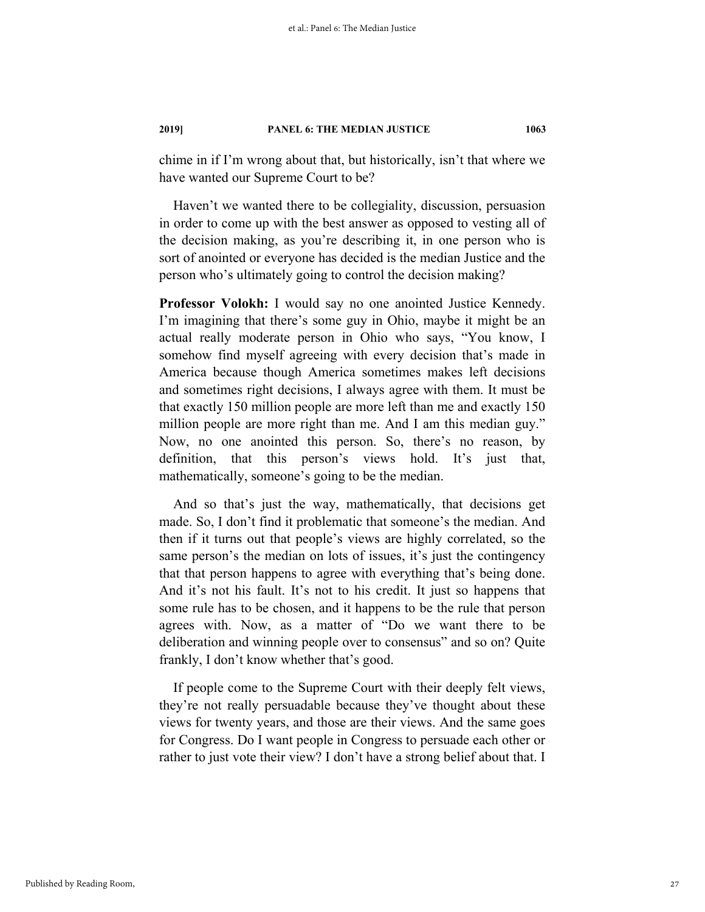chime in if I'm wrong about that, but historically, isn't that where we have wanted our Supreme Court to be?

Haven't we wanted there to be collegiality, discussion, persuasion in order to come up with the best answer as opposed to vesting all of the decision making, as you're describing it, in one person who is sort of anointed or everyone has decided is the median Justice and the person who's ultimately going to control the decision making?

**Professor Volokh:** I would say no one anointed Justice Kennedy. I'm imagining that there's some guy in Ohio, maybe it might be an actual really moderate person in Ohio who says, "You know, I somehow find myself agreeing with every decision that's made in America because though America sometimes makes left decisions and sometimes right decisions, I always agree with them. It must be that exactly 150 million people are more left than me and exactly 150 million people are more right than me. And I am this median guy." Now, no one anointed this person. So, there's no reason, by definition, that this person's views hold. It's just that, mathematically, someone's going to be the median.

And so that's just the way, mathematically, that decisions get made. So, I don't find it problematic that someone's the median. And then if it turns out that people's views are highly correlated, so the same person's the median on lots of issues, it's just the contingency that that person happens to agree with everything that's being done. And it's not his fault. It's not to his credit. It just so happens that some rule has to be chosen, and it happens to be the rule that person agrees with. Now, as a matter of "Do we want there to be deliberation and winning people over to consensus" and so on? Quite frankly, I don't know whether that's good.

If people come to the Supreme Court with their deeply felt views, they're not really persuadable because they've thought about these views for twenty years, and those are their views. And the same goes for Congress. Do I want people in Congress to persuade each other or rather to just vote their view? I don't have a strong belief about that. I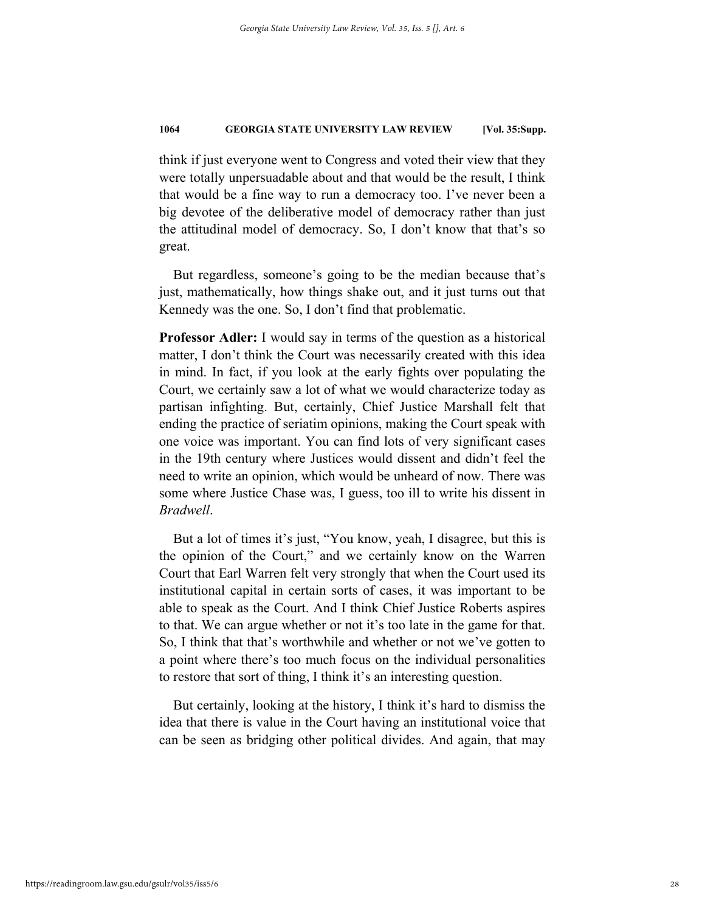think if just everyone went to Congress and voted their view that they were totally unpersuadable about and that would be the result, I think that would be a fine way to run a democracy too. I've never been a big devotee of the deliberative model of democracy rather than just the attitudinal model of democracy. So, I don't know that that's so great.

But regardless, someone's going to be the median because that's just, mathematically, how things shake out, and it just turns out that Kennedy was the one. So, I don't find that problematic.

**Professor Adler:** I would say in terms of the question as a historical matter, I don't think the Court was necessarily created with this idea in mind. In fact, if you look at the early fights over populating the Court, we certainly saw a lot of what we would characterize today as partisan infighting. But, certainly, Chief Justice Marshall felt that ending the practice of seriatim opinions, making the Court speak with one voice was important. You can find lots of very significant cases in the 19th century where Justices would dissent and didn't feel the need to write an opinion, which would be unheard of now. There was some where Justice Chase was, I guess, too ill to write his dissent in *Bradwell*.

But a lot of times it's just, "You know, yeah, I disagree, but this is the opinion of the Court," and we certainly know on the Warren Court that Earl Warren felt very strongly that when the Court used its institutional capital in certain sorts of cases, it was important to be able to speak as the Court. And I think Chief Justice Roberts aspires to that. We can argue whether or not it's too late in the game for that. So, I think that that's worthwhile and whether or not we've gotten to a point where there's too much focus on the individual personalities to restore that sort of thing, I think it's an interesting question.

But certainly, looking at the history, I think it's hard to dismiss the idea that there is value in the Court having an institutional voice that can be seen as bridging other political divides. And again, that may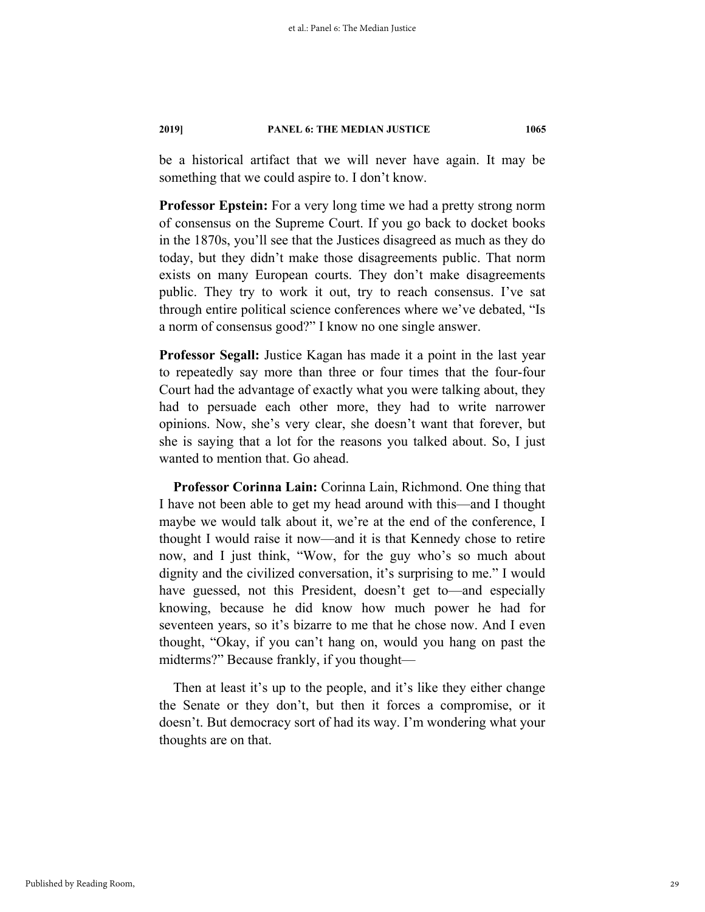be a historical artifact that we will never have again. It may be something that we could aspire to. I don't know.

**Professor Epstein:** For a very long time we had a pretty strong norm of consensus on the Supreme Court. If you go back to docket books in the 1870s, you'll see that the Justices disagreed as much as they do today, but they didn't make those disagreements public. That norm exists on many European courts. They don't make disagreements public. They try to work it out, try to reach consensus. I've sat through entire political science conferences where we've debated, "Is a norm of consensus good?" I know no one single answer.

**Professor Segall:** Justice Kagan has made it a point in the last year to repeatedly say more than three or four times that the four-four Court had the advantage of exactly what you were talking about, they had to persuade each other more, they had to write narrower opinions. Now, she's very clear, she doesn't want that forever, but she is saying that a lot for the reasons you talked about. So, I just wanted to mention that. Go ahead.

**Professor Corinna Lain:** Corinna Lain, Richmond. One thing that I have not been able to get my head around with this—and I thought maybe we would talk about it, we're at the end of the conference, I thought I would raise it now—and it is that Kennedy chose to retire now, and I just think, "Wow, for the guy who's so much about dignity and the civilized conversation, it's surprising to me." I would have guessed, not this President, doesn't get to—and especially knowing, because he did know how much power he had for seventeen years, so it's bizarre to me that he chose now. And I even thought, "Okay, if you can't hang on, would you hang on past the midterms?" Because frankly, if you thought—

Then at least it's up to the people, and it's like they either change the Senate or they don't, but then it forces a compromise, or it doesn't. But democracy sort of had its way. I'm wondering what your thoughts are on that.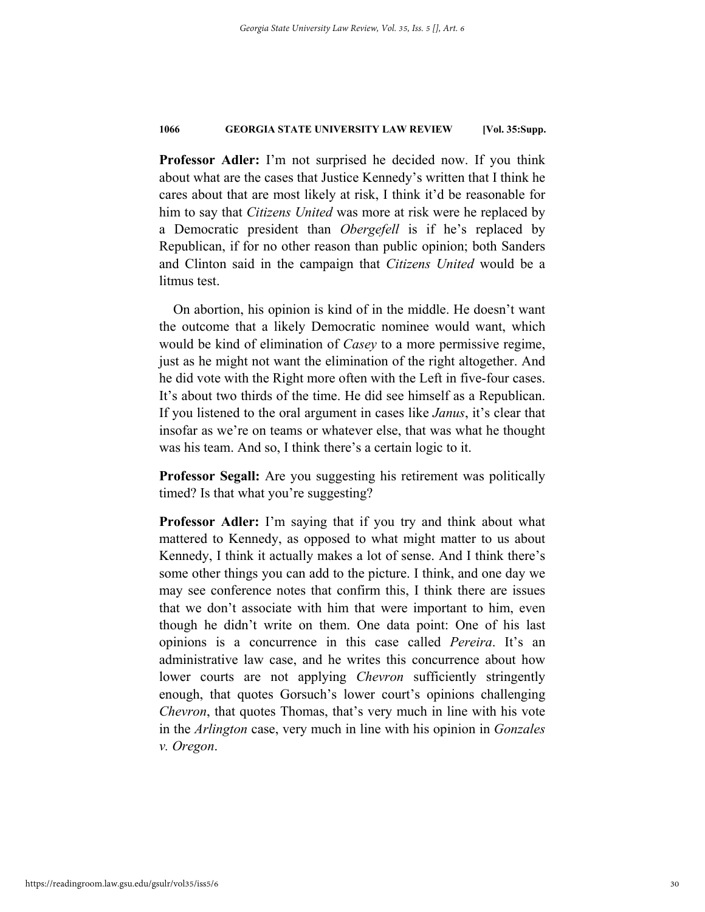**Professor Adler:** I'm not surprised he decided now. If you think about what are the cases that Justice Kennedy's written that I think he cares about that are most likely at risk, I think it'd be reasonable for him to say that *Citizens United* was more at risk were he replaced by a Democratic president than *Obergefell* is if he's replaced by Republican, if for no other reason than public opinion; both Sanders and Clinton said in the campaign that *Citizens United* would be a litmus test.

On abortion, his opinion is kind of in the middle. He doesn't want the outcome that a likely Democratic nominee would want, which would be kind of elimination of *Casey* to a more permissive regime, just as he might not want the elimination of the right altogether. And he did vote with the Right more often with the Left in five-four cases. It's about two thirds of the time. He did see himself as a Republican. If you listened to the oral argument in cases like *Janus*, it's clear that insofar as we're on teams or whatever else, that was what he thought was his team. And so, I think there's a certain logic to it.

**Professor Segall:** Are you suggesting his retirement was politically timed? Is that what you're suggesting?

**Professor Adler:** I'm saying that if you try and think about what mattered to Kennedy, as opposed to what might matter to us about Kennedy, I think it actually makes a lot of sense. And I think there's some other things you can add to the picture. I think, and one day we may see conference notes that confirm this, I think there are issues that we don't associate with him that were important to him, even though he didn't write on them. One data point: One of his last opinions is a concurrence in this case called *Pereira*. It's an administrative law case, and he writes this concurrence about how lower courts are not applying *Chevron* sufficiently stringently enough, that quotes Gorsuch's lower court's opinions challenging *Chevron*, that quotes Thomas, that's very much in line with his vote in the *Arlington* case, very much in line with his opinion in *Gonzales v. Oregon*.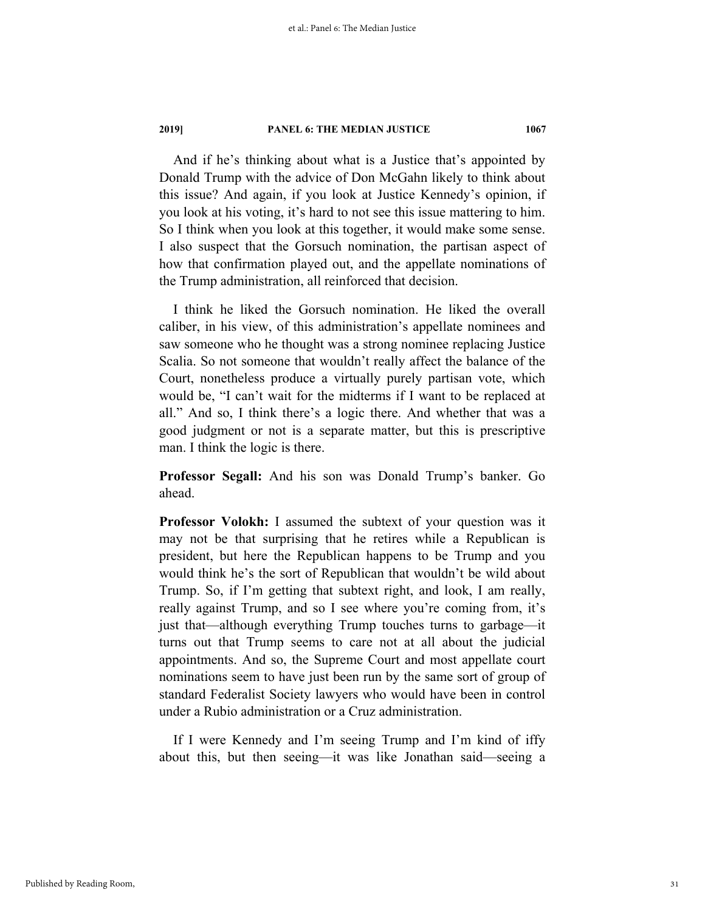And if he's thinking about what is a Justice that's appointed by Donald Trump with the advice of Don McGahn likely to think about this issue? And again, if you look at Justice Kennedy's opinion, if you look at his voting, it's hard to not see this issue mattering to him. So I think when you look at this together, it would make some sense. I also suspect that the Gorsuch nomination, the partisan aspect of how that confirmation played out, and the appellate nominations of the Trump administration, all reinforced that decision.

I think he liked the Gorsuch nomination. He liked the overall caliber, in his view, of this administration's appellate nominees and saw someone who he thought was a strong nominee replacing Justice Scalia. So not someone that wouldn't really affect the balance of the Court, nonetheless produce a virtually purely partisan vote, which would be, "I can't wait for the midterms if I want to be replaced at all." And so, I think there's a logic there. And whether that was a good judgment or not is a separate matter, but this is prescriptive man. I think the logic is there.

**Professor Segall:** And his son was Donald Trump's banker. Go ahead.

**Professor Volokh:** I assumed the subtext of your question was it may not be that surprising that he retires while a Republican is president, but here the Republican happens to be Trump and you would think he's the sort of Republican that wouldn't be wild about Trump. So, if I'm getting that subtext right, and look, I am really, really against Trump, and so I see where you're coming from, it's just that—although everything Trump touches turns to garbage—it turns out that Trump seems to care not at all about the judicial appointments. And so, the Supreme Court and most appellate court nominations seem to have just been run by the same sort of group of standard Federalist Society lawyers who would have been in control under a Rubio administration or a Cruz administration.

If I were Kennedy and I'm seeing Trump and I'm kind of iffy about this, but then seeing—it was like Jonathan said—seeing a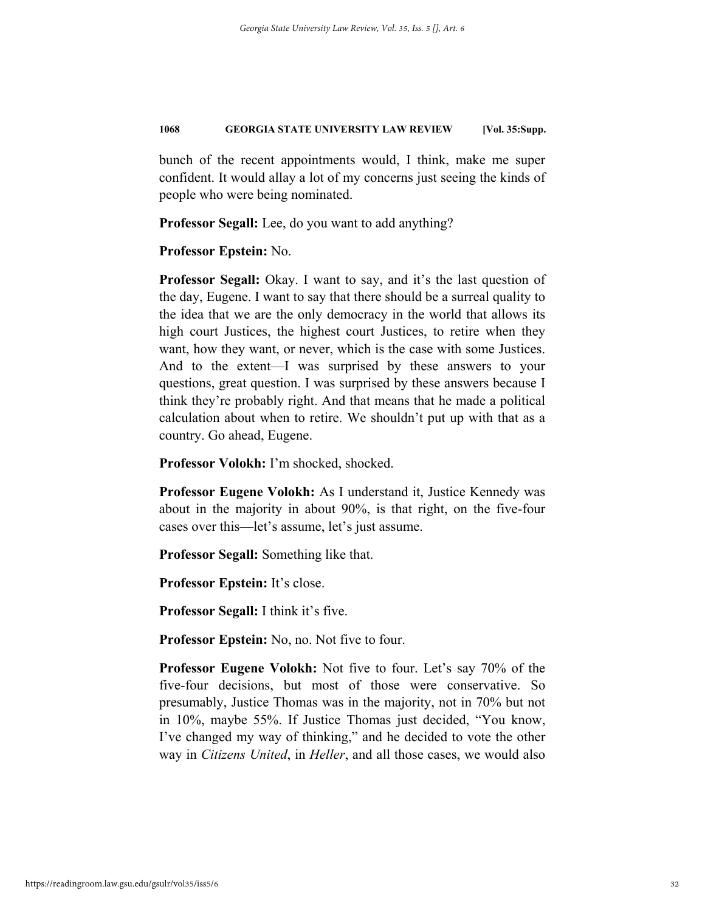bunch of the recent appointments would, I think, make me super confident. It would allay a lot of my concerns just seeing the kinds of people who were being nominated.

**Professor Segall:** Lee, do you want to add anything?

**Professor Epstein:** No.

**Professor Segall:** Okay. I want to say, and it's the last question of the day, Eugene. I want to say that there should be a surreal quality to the idea that we are the only democracy in the world that allows its high court Justices, the highest court Justices, to retire when they want, how they want, or never, which is the case with some Justices. And to the extent—I was surprised by these answers to your questions, great question. I was surprised by these answers because I think they're probably right. And that means that he made a political calculation about when to retire. We shouldn't put up with that as a country. Go ahead, Eugene.

**Professor Volokh:** I'm shocked, shocked.

**Professor Eugene Volokh:** As I understand it, Justice Kennedy was about in the majority in about 90%, is that right, on the five-four cases over this—let's assume, let's just assume.

**Professor Segall:** Something like that.

**Professor Epstein:** It's close.

**Professor Segall:** I think it's five.

**Professor Epstein:** No, no. Not five to four.

**Professor Eugene Volokh:** Not five to four. Let's say 70% of the five-four decisions, but most of those were conservative. So presumably, Justice Thomas was in the majority, not in 70% but not in 10%, maybe 55%. If Justice Thomas just decided, "You know, I've changed my way of thinking," and he decided to vote the other way in *Citizens United*, in *Heller*, and all those cases, we would also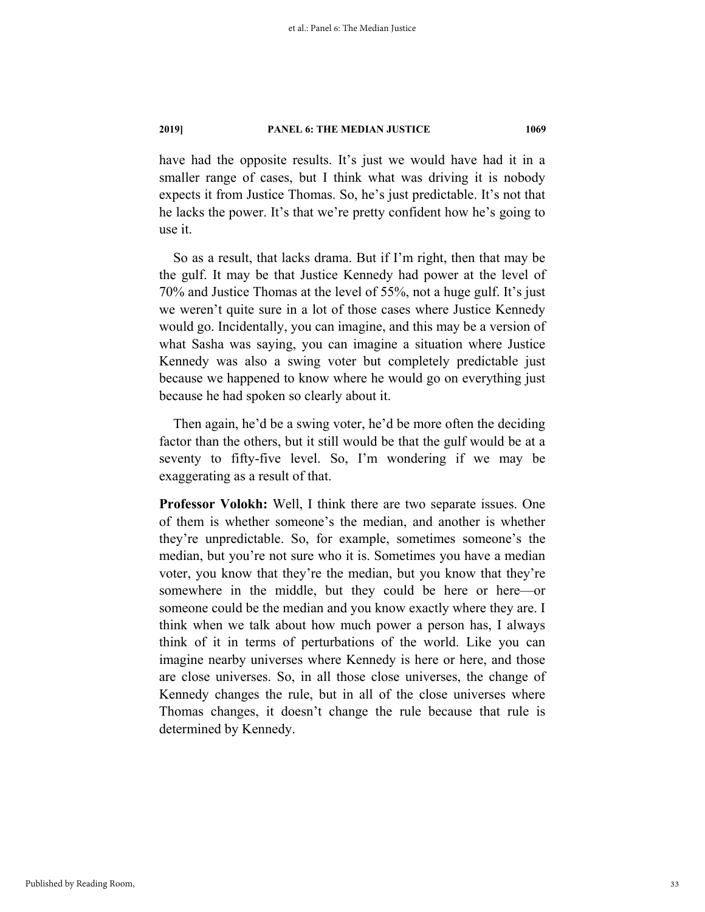have had the opposite results. It's just we would have had it in a smaller range of cases, but I think what was driving it is nobody expects it from Justice Thomas. So, he's just predictable. It's not that he lacks the power. It's that we're pretty confident how he's going to use it.

So as a result, that lacks drama. But if I'm right, then that may be the gulf. It may be that Justice Kennedy had power at the level of 70% and Justice Thomas at the level of 55%, not a huge gulf. It's just we weren't quite sure in a lot of those cases where Justice Kennedy would go. Incidentally, you can imagine, and this may be a version of what Sasha was saying, you can imagine a situation where Justice Kennedy was also a swing voter but completely predictable just because we happened to know where he would go on everything just because he had spoken so clearly about it.

Then again, he'd be a swing voter, he'd be more often the deciding factor than the others, but it still would be that the gulf would be at a seventy to fifty-five level. So, I'm wondering if we may be exaggerating as a result of that.

**Professor Volokh:** Well, I think there are two separate issues. One of them is whether someone's the median, and another is whether they're unpredictable. So, for example, sometimes someone's the median, but you're not sure who it is. Sometimes you have a median voter, you know that they're the median, but you know that they're somewhere in the middle, but they could be here or here—or someone could be the median and you know exactly where they are. I think when we talk about how much power a person has, I always think of it in terms of perturbations of the world. Like you can imagine nearby universes where Kennedy is here or here, and those are close universes. So, in all those close universes, the change of Kennedy changes the rule, but in all of the close universes where Thomas changes, it doesn't change the rule because that rule is determined by Kennedy.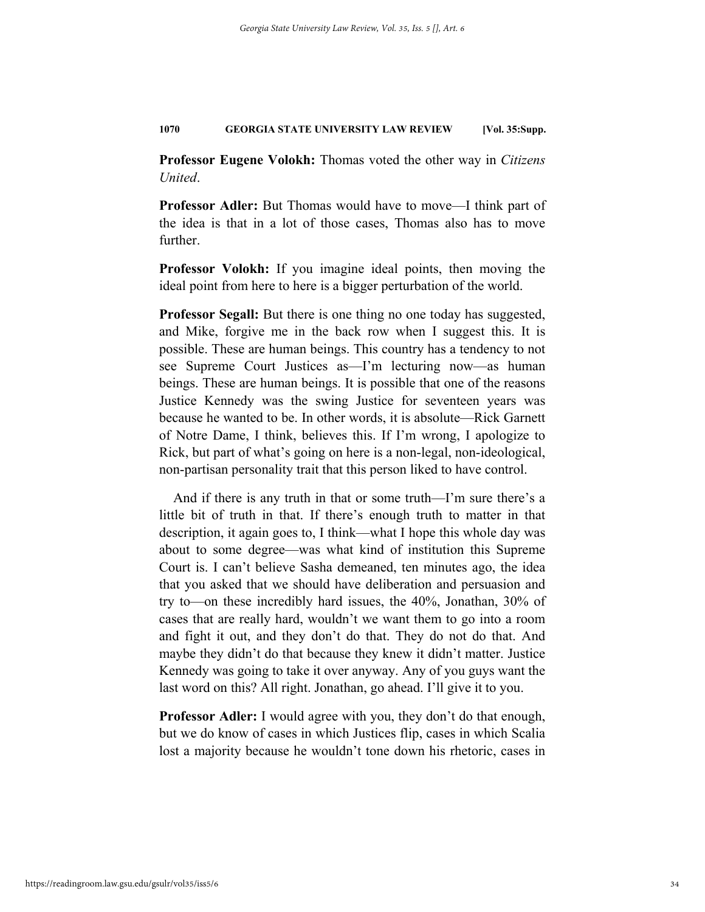**Professor Eugene Volokh:** Thomas voted the other way in *Citizens United*.

**Professor Adler:** But Thomas would have to move—I think part of the idea is that in a lot of those cases, Thomas also has to move further.

**Professor Volokh:** If you imagine ideal points, then moving the ideal point from here to here is a bigger perturbation of the world.

**Professor Segall:** But there is one thing no one today has suggested, and Mike, forgive me in the back row when I suggest this. It is possible. These are human beings. This country has a tendency to not see Supreme Court Justices as—I'm lecturing now—as human beings. These are human beings. It is possible that one of the reasons Justice Kennedy was the swing Justice for seventeen years was because he wanted to be. In other words, it is absolute—Rick Garnett of Notre Dame, I think, believes this. If I'm wrong, I apologize to Rick, but part of what's going on here is a non-legal, non-ideological, non-partisan personality trait that this person liked to have control.

And if there is any truth in that or some truth—I'm sure there's a little bit of truth in that. If there's enough truth to matter in that description, it again goes to, I think—what I hope this whole day was about to some degree—was what kind of institution this Supreme Court is. I can't believe Sasha demeaned, ten minutes ago, the idea that you asked that we should have deliberation and persuasion and try to—on these incredibly hard issues, the 40%, Jonathan, 30% of cases that are really hard, wouldn't we want them to go into a room and fight it out, and they don't do that. They do not do that. And maybe they didn't do that because they knew it didn't matter. Justice Kennedy was going to take it over anyway. Any of you guys want the last word on this? All right. Jonathan, go ahead. I'll give it to you.

**Professor Adler:** I would agree with you, they don't do that enough, but we do know of cases in which Justices flip, cases in which Scalia lost a majority because he wouldn't tone down his rhetoric, cases in